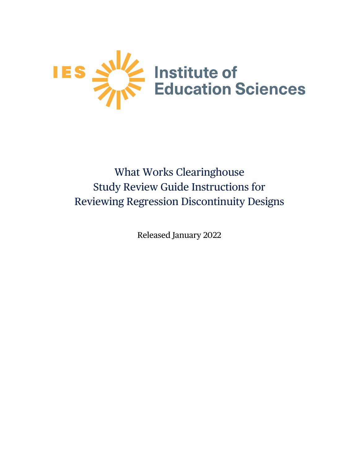

# What Works Clearinghouse Study Review Guide Instructions for Reviewing Regression Discontinuity Designs

Released January 2022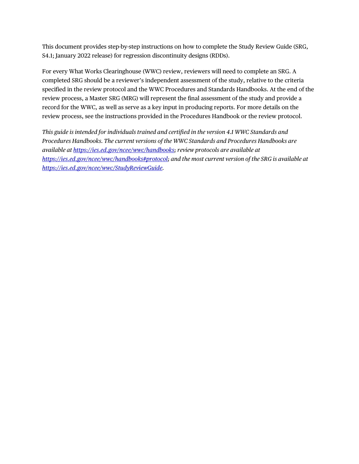This document provides step-by-step instructions on how to complete the Study Review Guide (SRG, S4.1; January 2022 release) for regression discontinuity designs (RDDs).

For every What Works Clearinghouse (WWC) review, reviewers will need to complete an SRG. A completed SRG should be a reviewer's independent assessment of the study, relative to the criteria specified in the review protocol and the WWC Procedures and Standards Handbooks. At the end of the review process, a Master SRG (MRG) will represent the final assessment of the study and provide a record for the WWC, as well as serve as a key input in producing reports. For more details on the review process, see the instructions provided in the Procedures Handbook or the review protocol.

*This guide is intended for individuals trained and certified in the version 4.1 WWC Standards and Procedures Handbooks. The current versions of the WWC Standards and Procedures Handbooks are available at [https://ies.ed.gov/ncee/wwc/handbooks;](https://ies.ed.gov/ncee/wwc/handbooks) review protocols are available at [https://ies.ed.gov/ncee/wwc/handbooks#protocol;](https://ies.ed.gov/ncee/wwc/handbooks#protocol) and the most current version of the SRG is available at [https://ies.ed.gov/ncee/wwc/StudyReviewGuide.](https://ies.ed.gov/ncee/wwc/StudyReviewGuide)*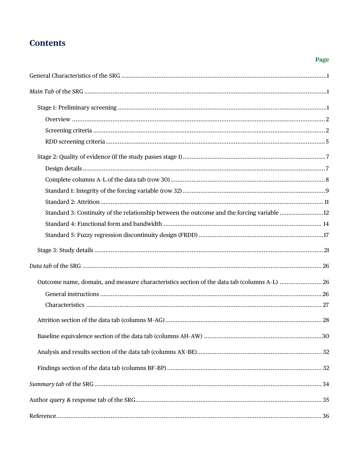# **Contents**

### Page

| Standard 3: Continuity of the relationship between the outcome and the forcing variable 12  |
|---------------------------------------------------------------------------------------------|
|                                                                                             |
|                                                                                             |
|                                                                                             |
|                                                                                             |
| Outcome name, domain, and measure characteristics section of the data tab (columns A-L)  26 |
|                                                                                             |
|                                                                                             |
|                                                                                             |
|                                                                                             |
|                                                                                             |
|                                                                                             |
|                                                                                             |
|                                                                                             |
|                                                                                             |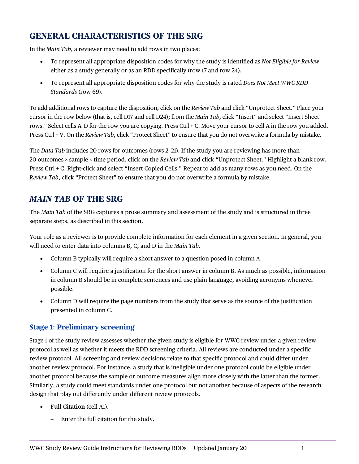# <span id="page-3-0"></span>**GENERAL CHARACTERISTICS OF THE SRG**

In the *Main Tab*, a reviewer may need to add rows in two places:

- To represent all appropriate disposition codes for why the study is identified as *Not Eligible for Review* either as a study generally or as an RDD specifically (row 17 and row 24).
- To represent all appropriate disposition codes for why the study is rated *Does Not Meet WWC RDD Standards* (row 69).

To add additional rows to capture the disposition, click on the *Review Tab* and click "Unprotect Sheet." Place your cursor in the row below (that is, cell D17 and cell D24); from the *Main Tab*, click "Insert" and select "Insert Sheet rows." Select cells A–D for the row you are copying. Press Ctrl + C. Move your cursor to cell A in the row you added. Press Ctrl + V. On the *Review Tab*, click "Protect Sheet" to ensure that you do not overwrite a formula by mistake.

The *Data Tab* includes 20 rows for outcomes (rows 2–21). If the study you are reviewing has more than 20 outcomes × sample × time period, click on the *Review Tab* and click "Unprotect Sheet." Highlight a blank row. Press Ctrl + C. Right-click and select "Insert Copied Cells." Repeat to add as many rows as you need. On the *Review Tab*, click "Protect Sheet" to ensure that you do not overwrite a formula by mistake.

# <span id="page-3-1"></span>*MAIN TAB* **OF THE SRG**

The *Main Tab* of the SRG captures a prose summary and assessment of the study and is structured in three separate steps, as described in this section.

Your role as a reviewer is to provide complete information for each element in a given section. In general, you will need to enter data into columns B, C, and D in the *Main Tab*.

- Column B typically will require a short answer to a question posed in column A.
- Column C will require a justification for the short answer in column B. As much as possible, information in column B should be in complete sentences and use plain language, avoiding acronyms whenever possible.
- Column D will require the page numbers from the study that serve as the source of the justification presented in column C.

## <span id="page-3-2"></span>**Stage 1**: **Preliminary screening**

Stage 1 of the study review assesses whether the given study is eligible for WWC review under a given review protocol as well as whether it meets the RDD screening criteria. All reviews are conducted under a specific review protocol. All screening and review decisions relate to that specific protocol and could differ under another review protocol. For instance, a study that is ineligible under one protocol could be eligible under another protocol because the sample or outcome measures align more closely with the latter than the former. Similarly, a study could meet standards under one protocol but not another because of aspects of the research design that play out differently under different review protocols.

- **Full Citation** (cell A1).
	- Enter the full citation for the study.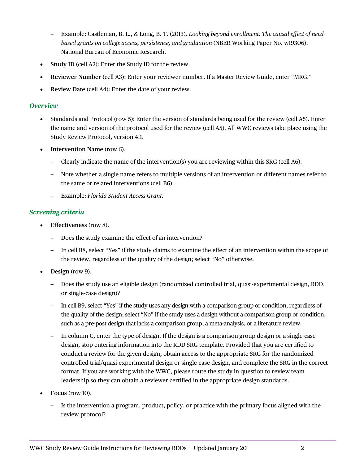- Example: Castleman, B. L., & Long, B. T. (2013). *Looking beyond enrollment: The causal effect of needbased grants on college access, persistence, and graduation* (NBER Working Paper No. w19306). National Bureau of Economic Research.
- **Study ID** (cell A2): Enter the Study ID for the review.
- **Reviewer Number** (cell A3): Enter your reviewer number. If a Master Review Guide, enter "MRG."
- **Review Date** (cell A4): Enter the date of your review.

#### <span id="page-4-0"></span>*Overview*

- Standards and Protocol (row 5): Enter the version of standards being used for the review (cell A5). Enter the name and version of the protocol used for the review (cell A5). All WWC reviews take place using the Study Review Protocol, version 4.1.
- **Intervention Name** (row 6).
	- Clearly indicate the name of the intervention(s) you are reviewing within this SRG (cell A6).
	- Note whether a single name refers to multiple versions of an intervention or different names refer to the same or related interventions (cell B6).
	- Example: *Florida Student Access Grant.*

#### <span id="page-4-1"></span>*Screening criteria*

- **Effectiveness** (row 8).
	- Does the study examine the effect of an intervention?
	- In cell B8, select "Yes" if the study claims to examine the effect of an intervention within the scope of the review, regardless of the quality of the design; select "No" otherwise.
- **Design** (row 9).
	- Does the study use an eligible design (randomized controlled trial, quasi-experimental design, RDD, or single-case design)?
	- In cell B9, select "Yes" if the study uses any design with a comparison group or condition, regardless of the quality of the design; select "No" if the study uses a design without a comparison group or condition, such as a pre-post design that lacks a comparison group, a meta-analysis, or a literature review.
	- In column C, enter the type of design. If the design is a comparison group design or a single-case design, stop entering information into the RDD SRG template. Provided that you are certified to conduct a review for the given design, obtain access to the appropriate SRG for the randomized controlled trial/quasi-experimental design or single-case design, and complete the SRG in the correct format. If you are working with the WWC, please route the study in question to review team leadership so they can obtain a reviewer certified in the appropriate design standards.
- **Focus** (row 10).
	- Is the intervention a program, product, policy, or practice with the primary focus aligned with the review protocol?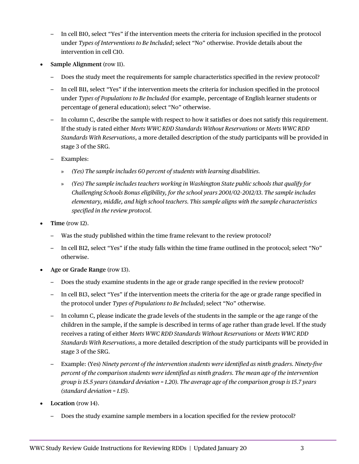- In cell B10, select "Yes" if the intervention meets the criteria for inclusion specified in the protocol under *Types of Interventions to Be Included*; select "No" otherwise. Provide details about the intervention in cell C10.
- **Sample Alignment** (row 11).
	- Does the study meet the requirements for sample characteristics specified in the review protocol?
	- In cell B11, select "Yes" if the intervention meets the criteria for inclusion specified in the protocol under *Types of Populations to Be Included* (for example, percentage of English learner students or percentage of general education); select "No" otherwise.
	- In column C, describe the sample with respect to how it satisfies or does not satisfy this requirement. If the study is rated either *Meets WWC RDD Standards Without Reservations* or *Meets WWC RDD Standards With Reservations*, a more detailed description of the study participants will be provided in stage 3 of the SRG.
	- Examples:
		- » *(Yes) The sample includes 60 percent of students with learning disabilities.*
		- » *(Yes) The sample includes teachers working in Washington State public schools that qualify for Challenging Schools Bonus eligibility, for the school years 2001/02–2012/13. The sample includes elementary, middle, and high school teachers. This sample aligns with the sample characteristics specified in the review protocol.*
- **Time** (row 12).
	- Was the study published within the time frame relevant to the review protocol?
	- In cell B12, select "Yes" if the study falls within the time frame outlined in the protocol; select "No" otherwise.
- **Age or Grade Range** (row 13).
	- Does the study examine students in the age or grade range specified in the review protocol?
	- In cell B13, select "Yes" if the intervention meets the criteria for the age or grade range specified in the protocol under *Types of Populations to Be Included*; select "No" otherwise.
	- In column C, please indicate the grade levels of the students in the sample or the age range of the children in the sample, if the sample is described in terms of age rather than grade level. If the study receives a rating of either *Meets WWC RDD Standards Without Reservations* or *Meets WWC RDD Standards With Reservations*, a more detailed description of the study participants will be provided in stage 3 of the SRG.
	- Example: (Yes) *Ninety percent of the intervention students were identified as ninth graders. Ninety-five percent of the comparison students were identified as ninth graders. The mean age of the intervention group is 15.5 years (standard deviation = 1.20). The average age of the comparison group is 15.7 years (standard deviation = 1.15).*
- **Location** (row 14).
	- Does the study examine sample members in a location specified for the review protocol?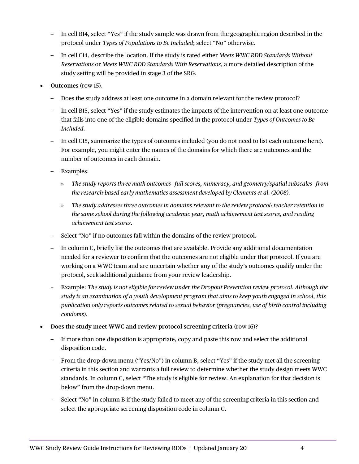- In cell B14, select "Yes" if the study sample was drawn from the geographic region described in the protocol under *Types of Populations to Be Included*; select "No" otherwise.
- In cell C14, describe the location. If the study is rated either *Meets WWC RDD Standards Without Reservations* or *Meets WWC RDD Standards With Reservations*, a more detailed description of the study setting will be provided in stage 3 of the SRG.
- **Outcomes** (row 15).
	- Does the study address at least one outcome in a domain relevant for the review protocol?
	- In cell B15, select "Yes" if the study estimates the impacts of the intervention on at least one outcome that falls into one of the eligible domains specified in the protocol under *Types of Outcomes to Be Included.*
	- In cell C15, summarize the types of outcomes included (you do not need to list each outcome here). For example, you might enter the names of the domains for which there are outcomes and the number of outcomes in each domain.
	- Examples:
		- » *The study reports three math outcomes—full scores, numeracy, and geometry/spatial subscales—from the research-based early mathematics assessment developed by Clements et al. (2008).*
		- » *The study addresses three outcomes in domains relevant to the review protocol: teacher retention in the same school during the following academic year, math achievement test scores, and reading achievement test scores.*
	- Select "No" if no outcomes fall within the domains of the review protocol.
	- In column C, briefly list the outcomes that are available. Provide any additional documentation needed for a reviewer to confirm that the outcomes are not eligible under that protocol. If you are working on a WWC team and are uncertain whether any of the study's outcomes qualify under the protocol, seek additional guidance from your review leadership.
	- ‒ Example: *The study is not eligible for review under the Dropout Prevention review protocol. Although the study is an examination of a youth development program that aims to keep youth engaged in school, this publication only reports outcomes related to sexual behavior (pregnancies, use of birth control including condoms).*
- **Does the study meet WWC and review protocol screening criteria** (row 16)?
	- If more than one disposition is appropriate, copy and paste this row and select the additional disposition code.
	- From the drop-down menu ("Yes/No") in column B, select "Yes" if the study met all the screening criteria in this section and warrants a full review to determine whether the study design meets WWC standards. In column C, select "The study is eligible for review. An explanation for that decision is below" from the drop-down menu.
	- Select "No" in column B if the study failed to meet any of the screening criteria in this section and select the appropriate screening disposition code in column C.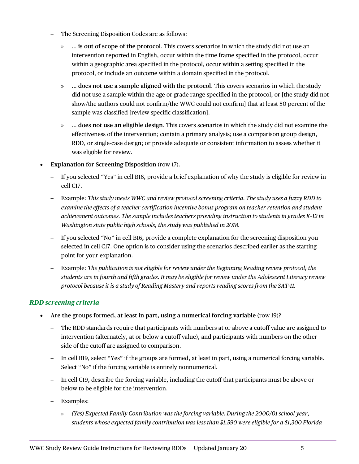- The Screening Disposition Codes are as follows:
	- » … **is out of scope of the protocol**. This covers scenarios in which the study did not use an intervention reported in English, occur within the time frame specified in the protocol, occur within a geographic area specified in the protocol, occur within a setting specified in the protocol, or include an outcome within a domain specified in the protocol.
	- » … **does not use a sample aligned with the protocol**. This covers scenarios in which the study did not use a sample within the age or grade range specified in the protocol, or [the study did not show/the authors could not confirm/the WWC could not confirm] that at least 50 percent of the sample was classified [review specific classification].
	- » … **does not use an eligible design**. This covers scenarios in which the study did not examine the effectiveness of the intervention; contain a primary analysis; use a comparison group design, RDD, or single-case design; or provide adequate or consistent information to assess whether it was eligible for review.
- **Explanation for Screening Disposition** (row 17).
	- If you selected "Yes" in cell B16, provide a brief explanation of why the study is eligible for review in cell C17.
	- Example: *This study meets WWC and review protocol screening criteria. The study uses a fuzzy RDD to examine the effects of a teacher certification incentive bonus program on teacher retention and student achievement outcomes. The sample includes teachers providing instruction to students in grades K–12 in Washington state public high schools; the study was published in 2018.*
	- If you selected "No" in cell B16, provide a complete explanation for the screening disposition you selected in cell C17. One option is to consider using the scenarios described earlier as the starting point for your explanation.
	- Example: *The publication is not eligible for review under the Beginning Reading review protocol; the students are in fourth and fifth grades. It may be eligible for review under the Adolescent Literacy review protocol because it is a study of Reading Mastery and reports reading scores from the SAT-11.*

#### <span id="page-7-0"></span>*RDD screening criteria*

- **Are the groups formed, at least in part, using a numerical forcing variable** (row 19)?
	- The RDD standards require that participants with numbers at or above a cutoff value are assigned to intervention (alternately, at or below a cutoff value), and participants with numbers on the other side of the cutoff are assigned to comparison.
	- In cell B19, select "Yes" if the groups are formed, at least in part, using a numerical forcing variable. Select "No" if the forcing variable is entirely nonnumerical.
	- In cell C19, describe the forcing variable, including the cutoff that participants must be above or below to be eligible for the intervention.
	- Examples:
		- » *(Yes) Expected Family Contribution was the forcing variable. During the 2000/01 school year, students whose expected family contribution was less than \$1,590 were eligible for a \$1,300 Florida*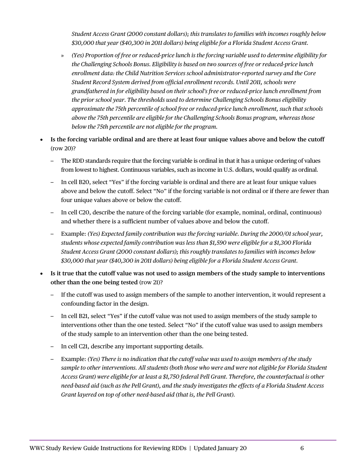*Student Access Grant (2000 constant dollars); this translates to families with incomes roughly below \$30,000 that year (\$40,300 in 2011 dollars) being eligible for a Florida Student Access Grant.* 

- » *(Yes) Proportion of free or reduced-price lunch is the forcing variable used to determine eligibility for the Challenging Schools Bonus. Eligibility is based on two sources of free or reduced-price lunch enrollment data: the Child Nutrition Services school administrator-reported survey and the Core Student Record System derived from official enrollment records. Until 2011, schools were grandfathered in for eligibility based on their school's free or reduced-price lunch enrollment from the prior school year. The thresholds used to determine Challenging Schools Bonus eligibility approximate the 75th percentile of school free or reduced-price lunch enrollment, such that schools above the 75th percentile are eligible for the Challenging Schools Bonus program, whereas those below the 75th percentile are not eligible for the program.*
- **Is the forcing variable ordinal and are there at least four unique values above and below the cutoff** (row 20)?
	- The RDD standards require that the forcing variable is ordinal in that it has a unique ordering of values from lowest to highest. Continuous variables, such as income in U.S. dollars, would qualify as ordinal.
	- In cell B20, select "Yes" if the forcing variable is ordinal and there are at least four unique values above and below the cutoff. Select "No" if the forcing variable is not ordinal or if there are fewer than four unique values above or below the cutoff.
	- In cell C20, describe the nature of the forcing variable (for example, nominal, ordinal, continuous) and whether there is a sufficient number of values above and below the cutoff.
	- Example: *(Yes) Expected family contribution was the forcing variable. During the 2000/01 school year, students whose expected family contribution was less than \$1,590 were eligible for a \$1,300 Florida Student Access Grant (2000 constant dollars); this roughly translates to families with incomes below \$30,000 that year (\$40,300 in 2011 dollars) being eligible for a Florida Student Access Grant.*
- **Is it true that the cutoff value was not used to assign members of the study sample to interventions other than the one being tested** (row 21)?
	- If the cutoff was used to assign members of the sample to another intervention, it would represent a confounding factor in the design.
	- In cell B21, select "Yes" if the cutoff value was not used to assign members of the study sample to interventions other than the one tested. Select "No" if the cutoff value was used to assign members of the study sample to an intervention other than the one being tested.
	- In cell C21, describe any important supporting details.
	- Example: *(Yes) There is no indication that the cutoff value was used to assign members of the study sample to other interventions. All students (both those who were and were not eligible for Florida Student Access Grant) were eligible for at least a \$1,750 federal Pell Grant. Therefore, the counterfactual is other need-based aid (such as the Pell Grant), and the study investigates the effects of a Florida Student Access Grant layered on top of other need-based aid (that is, the Pell Grant).*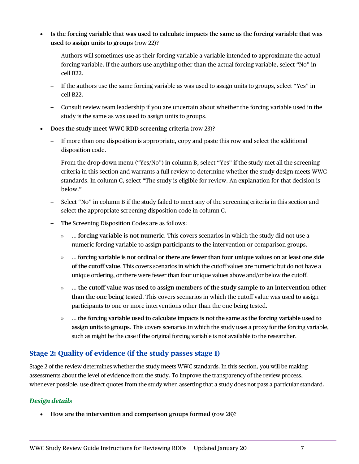- **Is the forcing variable that was used to calculate impacts the same as the forcing variable that was used to assign units to groups** (row 22)?
	- Authors will sometimes use as their forcing variable a variable intended to approximate the actual forcing variable. If the authors use anything other than the actual forcing variable, select "No" in cell B22.
	- If the authors use the same forcing variable as was used to assign units to groups, select "Yes" in cell B22.
	- Consult review team leadership if you are uncertain about whether the forcing variable used in the study is the same as was used to assign units to groups.
- **Does the study meet WWC RDD screening criteria** (row 23)?
	- If more than one disposition is appropriate, copy and paste this row and select the additional disposition code.
	- From the drop-down menu ("Yes/No") in column B, select "Yes" if the study met all the screening criteria in this section and warrants a full review to determine whether the study design meets WWC standards. In column C, select "The study is eligible for review. An explanation for that decision is below."
	- Select "No" in column B if the study failed to meet any of the screening criteria in this section and select the appropriate screening disposition code in column C.
	- The Screening Disposition Codes are as follows:
		- » … **forcing variable is not numeric**. This covers scenarios in which the study did not use a numeric forcing variable to assign participants to the intervention or comparison groups.
		- » … **forcing variable is not ordinal or there are fewer than four unique values on at least one side of the cutoff value**. This covers scenarios in which the cutoff values are numeric but do not have a unique ordering, or there were fewer than four unique values above and/or below the cutoff.
		- » … **the cutoff value was used to assign members of the study sample to an intervention other than the one being tested**. This covers scenarios in which the cutoff value was used to assign participants to one or more interventions other than the one being tested.
		- » … **the forcing variable used to calculate impacts is not the same as the forcing variable used to assign units to groups**. This covers scenarios in which the study uses a proxy for the forcing variable, such as might be the case if the original forcing variable is not available to the researcher.

### <span id="page-9-0"></span>**Stage 2: Quality of evidence (if the study passes stage 1)**

Stage 2 of the review determines whether the study meets WWC standards. In this section, you will be making assessments about the level of evidence from the study. To improve the transparency of the review process, whenever possible, use direct quotes from the study when asserting that a study does not pass a particular standard.

### <span id="page-9-1"></span>*Design details*

• **How are the intervention and comparison groups formed** (row 28)?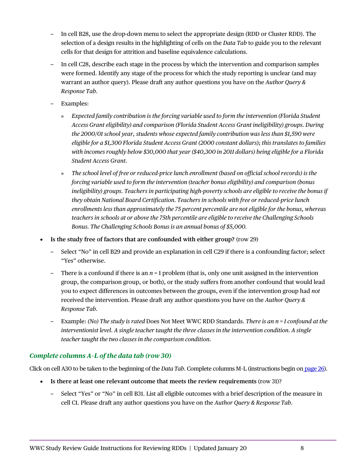- In cell B28, use the drop-down menu to select the appropriate design (RDD or Cluster RDD). The selection of a design results in the highlighting of cells on the *Data Tab* to guide you to the relevant cells for that design for attrition and baseline equivalence calculations.
- In cell C28, describe each stage in the process by which the intervention and comparison samples were formed. Identify any stage of the process for which the study reporting is unclear (and may warrant an author query). Please draft any author questions you have on the *Author Query & Response Tab*.
- Examples:
	- » *Expected family contribution is the forcing variable used to form the intervention (Florida Student Access Grant eligibility) and comparison (Florida Student Access Grant ineligibility) groups. During the 2000/01 school year, students whose expected family contribution was less than \$1,590 were eligible for a \$1,300 Florida Student Access Grant (2000 constant dollars); this translates to families with incomes roughly below \$30,000 that year (\$40,300 in 2011 dollars) being eligible for a Florida Student Access Grant.*
	- » *The school level of free or reduced-price lunch enrollment (based on official school records) is the forcing variable used to form the intervention (teacher bonus eligibility) and comparison (bonus ineligibility) groups. Teachers in participating high-poverty schools are eligible to receive the bonus if they obtain National Board Certification. Teachers in schools with free or reduced-price lunch enrollments less than approximately the 75 percent percentile are not eligible for the bonus, whereas teachers in schools at or above the 75th percentile are eligible to receive the Challenging Schools Bonus. The Challenging Schools Bonus is an annual bonus of \$5,000.*
- **Is the study free of factors that are confounded with either group?** (row 29)
	- Select "No" in cell B29 and provide an explanation in cell C29 if there is a confounding factor; select "Yes" otherwise.
	- There is a confound if there is an *n* = 1 problem (that is, only one unit assigned in the intervention group, the comparison group, or both), or the study suffers from another confound that would lead you to expect differences in outcomes between the groups, even if the intervention group had *not* received the intervention. Please draft any author questions you have on the *Author Query & Response Tab.*
	- Example: *(No) The study is rated* Does Not Meet WWC RDD Standards. *There is an n = 1 confound at the interventionist level. A single teacher taught the three classes in the intervention condition. A single teacher taught the two classes in the comparison condition.*

#### <span id="page-10-0"></span>*Complete columns A–L of the data tab (row 30)*

Click on cell A30 to be taken to the beginning of the *Data Tab*. Complete columns M–L (instructions begin on [page 26\)](#page-28-1).

- **Is there at least one relevant outcome that meets the review requirements** (row 31)?
	- Select "Yes" or "No" in cell B31. List all eligible outcomes with a brief description of the measure in cell C1. Please draft any author questions you have on the *Author Query & Response Tab*.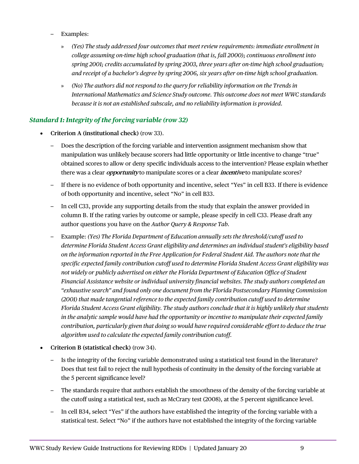- Examples:
	- » *(Yes) The study addressed four outcomes that meet review requirements: immediate enrollment in college assuming on-time high school graduation (that is, fall 2000); continuous enrollment into spring 2001; credits accumulated by spring 2003, three years after on-time high school graduation; and receipt of a bachelor's degree by spring 2006, six years after on-time high school graduation.*
	- » *(No) The authors did not respond to the query for reliability information on the Trends in International Mathematics and Science Study outcome. This outcome does not meet WWC standards because it is not an established subscale, and no reliability information is provided.*

#### <span id="page-11-0"></span>*Standard 1: Integrity of the forcing variable (row 32)*

- **Criterion A (institutional check)** (row 33).
	- Does the description of the forcing variable and intervention assignment mechanism show that manipulation was unlikely because scorers had little opportunity or little incentive to change "true" obtained scores to allow or deny specific individuals access to the intervention? Please explain whether there was a clear **opportunity** to manipulate scores or a clear **incentive** to manipulate scores?
	- If there is no evidence of both opportunity and incentive, select "Yes" in cell B33. If there is evidence of both opportunity and incentive, select "No" in cell B33.
	- In cell C33, provide any supporting details from the study that explain the answer provided in column B. If the rating varies by outcome or sample, please specify in cell C33. Please draft any author questions you have on the *Author Query & Response Tab.*
	- Example: *(Yes) The Florida Department of Education annually sets the threshold/cutoff used to determine Florida Student Access Grant eligibility and determines an individual student's eligibility based on the information reported in the Free Application for Federal Student Aid. The authors note that the specific expected family contribution cutoff used to determine Florida Student Access Grant eligibility was not widely or publicly advertised on either the Florida Department of Education Office of Student Financial Assistance website or individual university financial websites. The study authors completed an "exhaustive search" and found only one document from the Florida Postsecondary Planning Commission (2001) that made tangential reference to the expected family contribution cutoff used to determine Florida Student Access Grant eligibility. The study authors conclude that it is highly unlikely that students in the analytic sample would have had the opportunity or incentive to manipulate their expected family contribution, particularly given that doing so would have required considerable effort to deduce the true algorithm used to calculate the expected family contribution cutoff.*
- **Criterion B (statistical check)** (row 34).
	- Is the integrity of the forcing variable demonstrated using a statistical test found in the literature? Does that test fail to reject the null hypothesis of continuity in the density of the forcing variable at the 5 percent significance level?
	- The standards require that authors establish the smoothness of the density of the forcing variable at the cutoff using a statistical test, such as McCrary test (2008), at the 5 percent significance level.
	- In cell B34, select "Yes" if the authors have established the integrity of the forcing variable with a statistical test. Select "No" if the authors have not established the integrity of the forcing variable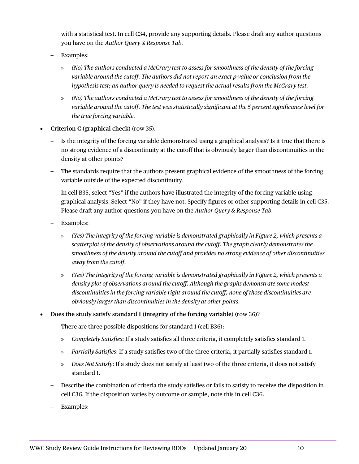with a statistical test. In cell C34, provide any supporting details. Please draft any author questions you have on the *Author Query & Response Tab.*

- Examples:
	- » *(No) The authors conducted a McCrary test to assess for smoothness of the density of the forcing variable around the cutoff. The authors did not report an exact p-value or conclusion from the hypothesis test; an author query is needed to request the actual results from the McCrary test.*
	- » *(No) The authors conducted a McCrary test to assess for smoothness of the density of the forcing variable around the cutoff. The test was statistically significant at the 5 percent significance level for the true forcing variable.*
- **Criterion C (graphical check)** (row 35).
	- Is the integrity of the forcing variable demonstrated using a graphical analysis? Is it true that there is no strong evidence of a discontinuity at the cutoff that is obviously larger than discontinuities in the density at other points?
	- The standards require that the authors present graphical evidence of the smoothness of the forcing variable outside of the expected discontinuity.
	- In cell B35, select "Yes" if the authors have illustrated the integrity of the forcing variable using graphical analysis. Select "No" if they have not. Specify figures or other supporting details in cell C35. Please draft any author questions you have on the *Author Query & Response Tab.*
	- Examples:
		- » *(Yes) The integrity of the forcing variable is demonstrated graphically in Figure 2, which presents a scatterplot of the density of observations around the cutoff. The graph clearly demonstrates the smoothness of the density around the cutoff and provides no strong evidence of other discontinuities away from the cutoff.*
		- » *(Yes) The integrity of the forcing variable is demonstrated graphically in Figure 2, which presents a density plot of observations around the cutoff. Although the graphs demonstrate some modest discontinuities in the forcing variable right around the cutoff, none of those discontinuities are obviously larger than discontinuities in the density at other points.*
- **Does the study satisfy standard 1 (integrity of the forcing variable)** (row 36)?
	- There are three possible dispositions for standard 1 (cell B36):
		- » *Completely Satisfies*: If a study satisfies all three criteria, it completely satisfies standard 1.
		- » *Partially Satisfies*: If a study satisfies two of the three criteria, it partially satisfies standard 1.
		- » *Does Not Satisfy*: If a study does not satisfy at least two of the three criteria, it does not satisfy standard 1.
	- Describe the combination of criteria the study satisfies or fails to satisfy to receive the disposition in cell C36. If the disposition varies by outcome or sample, note this in cell C36.
	- Examples: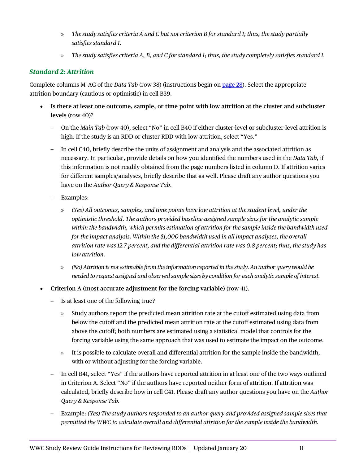- » *The study satisfies criteria A and C but not criterion B for standard 1; thus, the study partially satisfies standard 1.*
- » *The study satisfies criteria A, B, and C for standard 1; thus, the study completely satisfies standard 1.*

#### <span id="page-13-0"></span>*Standard 2: Attrition*

Complete columns M–AG of the *Data Tab* (row 38) (instructions begin on [page 28\)](#page-30-0). Select the appropriate attrition boundary (cautious or optimistic) in cell B39.

- **Is there at least one outcome, sample, or time point with low attrition at the cluster and subcluster levels** (row 40)?
	- On the *Main Tab* (row 40), select "No" in cell B40 if either cluster-level or subcluster-level attrition is high. If the study is an RDD or cluster RDD with low attrition, select "Yes."
	- In cell C40, briefly describe the units of assignment and analysis and the associated attrition as necessary. In particular, provide details on how you identified the numbers used in the *Data Tab*, if this information is not readily obtained from the page numbers listed in column D. If attrition varies for different samples/analyses, briefly describe that as well. Please draft any author questions you have on the *Author Query & Response Tab*.
	- Examples:
		- » *(Yes) All outcomes, samples, and time points have low attrition at the student level, under the optimistic threshold. The authors provided baseline-assigned sample sizes for the analytic sample within the bandwidth, which permits estimation of attrition for the sample inside the bandwidth used for the impact analysis. Within the \$1,000 bandwidth used in all impact analyses, the overall attrition rate was 12.7 percent, and the differential attrition rate was 0.8 percent; thus, the study has low attrition.*
		- » *(No) Attrition is not estimable from the information reported in the study. An author query would be needed to request assigned and observed sample sizes by condition for each analytic sample of interest.*
- **Criterion A (most accurate adjustment for the forcing variable)** (row 41).
	- Is at least one of the following true?
		- » Study authors report the predicted mean attrition rate at the cutoff estimated using data from below the cutoff and the predicted mean attrition rate at the cutoff estimated using data from above the cutoff; both numbers are estimated using a statistical model that controls for the forcing variable using the same approach that was used to estimate the impact on the outcome.
		- » It is possible to calculate overall and differential attrition for the sample inside the bandwidth, with or without adjusting for the forcing variable.
	- In cell B41, select "Yes" if the authors have reported attrition in at least one of the two ways outlined in Criterion A. Select "No" if the authors have reported neither form of attrition. If attrition was calculated, briefly describe how in cell C41. Please draft any author questions you have on the *Author Query & Response Tab.*
	- Example: *(Yes) The study authors responded to an author query and provided assigned sample sizes that permitted the WWC to calculate overall and differential attrition for the sample inside the bandwidth.*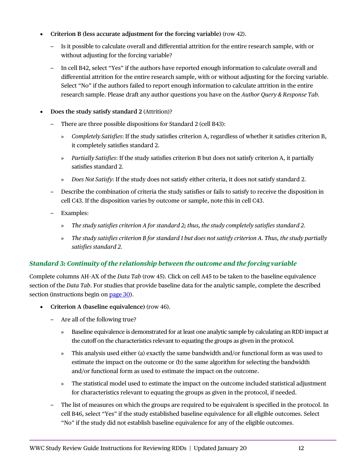- **Criterion B (less accurate adjustment for the forcing variable)** (row 42).
	- Is it possible to calculate overall and differential attrition for the entire research sample, with or without adjusting for the forcing variable?
	- In cell B42, select "Yes" if the authors have reported enough information to calculate overall and differential attrition for the entire research sample, with or without adjusting for the forcing variable. Select "No" if the authors failed to report enough information to calculate attrition in the entire research sample. Please draft any author questions you have on the *Author Query & Response Tab.*
- **Does the study satisfy standard 2** (Attrition)?
	- There are three possible dispositions for Standard 2 (cell B43):
		- » *Completely Satisfies*: If the study satisfies criterion A, regardless of whether it satisfies criterion B, it completely satisfies standard 2.
		- » *Partially Satisfies*: If the study satisfies criterion B but does not satisfy criterion A, it partially satisfies standard 2.
		- » *Does Not Satisfy*: If the study does not satisfy either criteria, it does not satisfy standard 2.
	- Describe the combination of criteria the study satisfies or fails to satisfy to receive the disposition in cell C43. If the disposition varies by outcome or sample, note this in cell C43.
	- Examples:
		- » *The study satisfies criterion A for standard 2; thus, the study completely satisfies standard 2.*
		- » *The study satisfies criterion B for standard 1 but does not satisfy criterion A. Thus, the study partially satisfies standard 2.*

#### <span id="page-14-0"></span>*Standard 3: Continuity of the relationship between the outcome and the forcing variable*

Complete columns AH–AX of the *Data Tab* (row 45). Click on cell A45 to be taken to the baseline equivalence section of the *Data Tab*. For studies that provide baseline data for the analytic sample, complete the described section (instructions begin on [page 30\)](#page-32-0).

- **Criterion A (baseline equivalence)** (row 46).
	- Are all of the following true?
		- » Baseline equivalence is demonstrated for at least one analytic sample by calculating an RDD impact at the cutoff on the characteristics relevant to equating the groups as given in the protocol.
		- » This analysis used either (a) exactly the same bandwidth and/or functional form as was used to estimate the impact on the outcome or (b) the same algorithm for selecting the bandwidth and/or functional form as used to estimate the impact on the outcome.
		- » The statistical model used to estimate the impact on the outcome included statistical adjustment for characteristics relevant to equating the groups as given in the protocol, if needed.
	- The list of measures on which the groups are required to be equivalent is specified in the protocol. In cell B46, select "Yes" if the study established baseline equivalence for all eligible outcomes. Select "No" if the study did not establish baseline equivalence for any of the eligible outcomes.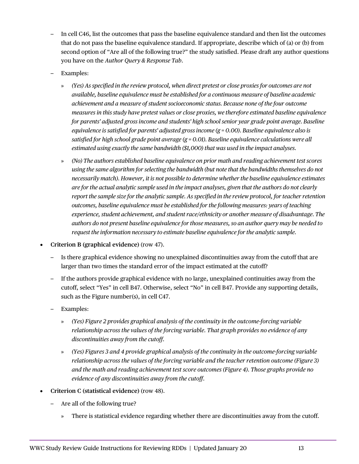- In cell C46, list the outcomes that pass the baseline equivalence standard and then list the outcomes that do not pass the baseline equivalence standard. If appropriate, describe which of (a) or (b) from second option of "Are all of the following true?" the study satisfied. Please draft any author questions you have on the *Author Query & Response Tab*.
- Examples:
	- » *(Yes) As specified in the review protocol, when direct pretest or close proxies for outcomes are not available, baseline equivalence must be established for a continuous measure of baseline academic achievement and a measure of student socioeconomic status. Because none of the four outcome measures in this study have pretest values or close proxies, we therefore estimated baseline equivalence for parents' adjusted gross income and students' high school senior year grade point average. Baseline equivalence is satisfied for parents' adjusted gross income (g = 0.00). Baseline equivalence also is satisfied for high school grade point average (g = 0.01). Baseline equivalence calculations were all estimated using exactly the same bandwidth (\$1,000) that was used in the impact analyses.*
	- » *(No) The authors established baseline equivalence on prior math and reading achievement test scores using the same algorithm for selecting the bandwidth (but note that the bandwidths themselves do not necessarily match). However, it is not possible to determine whether the baseline equivalence estimates are for the actual analytic sample used in the impact analyses, given that the authors do not clearly report the sample size for the analytic sample. As specified in the review protocol, for teacher retention outcomes, baseline equivalence must be established for the following measures: years of teaching experience, student achievement, and student race/ethnicity or another measure of disadvantage. The authors do not present baseline equivalence for those measures, so an author query may be needed to request the information necessary to estimate baseline equivalence for the analytic sample.*
- **Criterion B (graphical evidence)** (row 47).
	- Is there graphical evidence showing no unexplained discontinuities away from the cutoff that are larger than two times the standard error of the impact estimated at the cutoff?
	- If the authors provide graphical evidence with no large, unexplained continuities away from the cutoff, select "Yes" in cell B47. Otherwise, select "No" in cell B47. Provide any supporting details, such as the Figure number(s), in cell C47.
	- Examples:
		- » *(Yes) Figure 2 provides graphical analysis of the continuity in the outcome-forcing variable relationship across the values of the forcing variable. That graph provides no evidence of any discontinuities away from the cutoff.*
		- » *(Yes) Figures 3 and 4 provide graphical analysis of the continuity in the outcome-forcing variable relationship across the values of the forcing variable and the teacher retention outcome (Figure 3) and the math and reading achievement test score outcomes (Figure 4). Those graphs provide no evidence of any discontinuities away from the cutoff.*
- **Criterion C (statistical evidence)** (row 48).
	- Are all of the following true?
		- » There is statistical evidence regarding whether there are discontinuities away from the cutoff.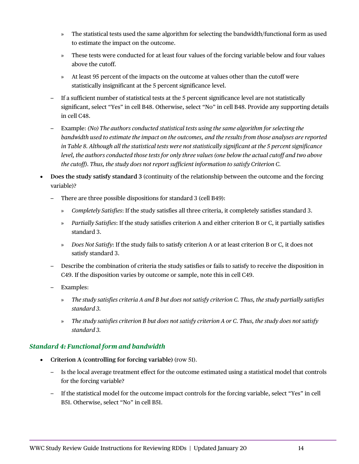- » The statistical tests used the same algorithm for selecting the bandwidth/functional form as used to estimate the impact on the outcome.
- » These tests were conducted for at least four values of the forcing variable below and four values above the cutoff.
- » At least 95 percent of the impacts on the outcome at values other than the cutoff were statistically insignificant at the 5 percent significance level.
- If a sufficient number of statistical tests at the 5 percent significance level are not statistically significant, select "Yes" in cell B48. Otherwise, select "No" in cell B48. Provide any supporting details in cell C48.
- Example: *(No) The authors conducted statistical tests using the same algorithm for selecting the bandwidth used to estimate the impact on the outcomes, and the results from those analyses are reported in Table 8. Although all the statistical tests were not statistically significant at the 5 percent significance level, the authors conducted those tests for only three values (one below the actual cutoff and two above the cutoff). Thus, the study does not report sufficient information to satisfy Criterion C.*
- **Does the study satisfy standard 3** (continuity of the relationship between the outcome and the forcing variable)?
	- There are three possible dispositions for standard 3 (cell B49):
		- » *Completely Satisfies*: If the study satisfies all three criteria, it completely satisfies standard 3.
		- » *Partially Satisfies*: If the study satisfies criterion A and either criterion B or C, it partially satisfies standard 3.
		- » *Does Not Satisfy*: If the study fails to satisfy criterion A or at least criterion B or C, it does not satisfy standard 3.
	- Describe the combination of criteria the study satisfies or fails to satisfy to receive the disposition in C49. If the disposition varies by outcome or sample, note this in cell C49.
	- Examples:
		- » *The study satisfies criteria A and B but does not satisfy criterion C. Thus, the study partially satisfies standard 3.*
		- » *The study satisfies criterion B but does not satisfy criterion A or C. Thus, the study does not satisfy standard 3.*

#### <span id="page-16-0"></span>*Standard 4: Functional form and bandwidth*

- **Criterion A (controlling for forcing variable)** (row 51).
	- Is the local average treatment effect for the outcome estimated using a statistical model that controls for the forcing variable?
	- If the statistical model for the outcome impact controls for the forcing variable, select "Yes" in cell B51. Otherwise, select "No" in cell B51.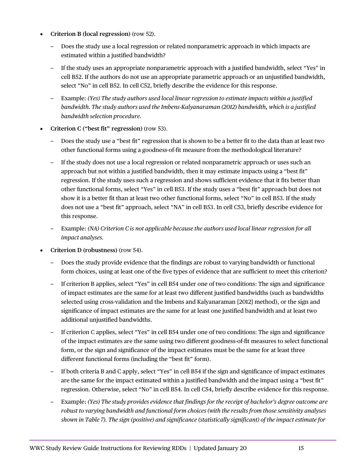- **Criterion B (local regression)** (row 52).
	- Does the study use a local regression or related nonparametric approach in which impacts are estimated within a justified bandwidth?
	- If the study uses an appropriate nonparametric approach with a justified bandwidth, select "Yes" in cell B52. If the authors do not use an appropriate parametric approach or an unjustified bandwidth, select "No" in cell B52. In cell C52, briefly describe the evidence for this response.
	- Example: *(Yes) The study authors used local linear regression to estimate impacts within a justified bandwidth. The study authors used the Imbens-Kalyanaraman (2012) bandwidth, which is a justified bandwidth selection procedure.*
- **Criterion C ("best fit" regression)** (row 53).
	- Does the study use a "best fit" regression that is shown to be a better fit to the data than at least two other functional forms using a goodness-of-fit measure from the methodological literature?
	- If the study does not use a local regression or related nonparametric approach or uses such an approach but not within a justified bandwidth, then it may estimate impacts using a "best fit" regression. If the study uses such a regression and shows sufficient evidence that it fits better than other functional forms, select "Yes" in cell B53. If the study uses a "best fit" approach but does not show it is a better fit than at least two other functional forms, select "No" in cell B53. If the study does not use a "best fit" approach, select "NA" in cell B53. In cell C53, briefly describe evidence for this response.
	- Example: *(NA) Criterion C is not applicable because the authors used local linear regression for all impact analyses.*
- **Criterion D (robustness)** (row 54).
	- Does the study provide evidence that the findings are robust to varying bandwidth or functional form choices, using at least one of the five types of evidence that are sufficient to meet this criterion?
	- If criterion B applies, select "Yes" in cell B54 under one of two conditions: The sign and significance of impact estimates are the same for at least two different justified bandwidths (such as bandwidths selected using cross-validation and the Imbens and Kalyanaraman [2012] method), or the sign and significance of impact estimates are the same for at least one justified bandwidth and at least two additional unjustified bandwidths.
	- If criterion C applies, select "Yes" in cell B54 under one of two conditions: The sign and significance of the impact estimates are the same using two different goodness-of-fit measures to select functional form, or the sign and significance of the impact estimates must be the same for at least three different functional forms (including the "best fit" form).
	- If both criteria B and C apply, select "Yes" in cell B54 if the sign and significance of impact estimates are the same for the impact estimated within a justified bandwidth and the impact using a "best fit" regression. Otherwise, select "No" in cell B54. In cell C54, briefly describe evidence for this response.
	- Example: *(Yes) The study provides evidence that findings for the receipt of bachelor's degree outcome are robust to varying bandwidth and functional form choices (with the results from those sensitivity analyses shown in Table 7). The sign (positive) and significance (statistically significant) of the impact estimate for*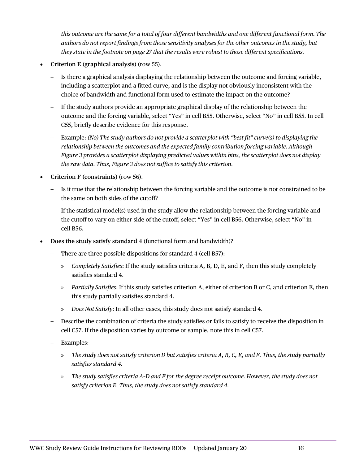*this outcome are the same for a total of four different bandwidths and one different functional form. The authors do not report findings from those sensitivity analyses for the other outcomes in the study, but they state in the footnote on page 27 that the results were robust to those different specifications.*

- **Criterion E (graphical analysis)** (row 55).
	- Is there a graphical analysis displaying the relationship between the outcome and forcing variable, including a scatterplot and a fitted curve, and is the display not obviously inconsistent with the choice of bandwidth and functional form used to estimate the impact on the outcome?
	- If the study authors provide an appropriate graphical display of the relationship between the outcome and the forcing variable, select "Yes" in cell B55. Otherwise, select "No" in cell B55. In cell C55, briefly describe evidence for this response.
	- Example: *(No) The study authors do not provide a scatterplot with "best fit" curve(s) to displaying the relationship between the outcomes and the expected family contribution forcing variable. Although Figure 3 provides a scatterplot displaying predicted values within bins, the scatterplot does not display the raw data. Thus, Figure 3 does not suffice to satisfy this criterion.*
- **Criterion F (constraints)** (row 56).
	- Is it true that the relationship between the forcing variable and the outcome is not constrained to be the same on both sides of the cutoff?
	- If the statistical model(s) used in the study allow the relationship between the forcing variable and the cutoff to vary on either side of the cutoff, select "Yes" in cell B56. Otherwise, select "No" in cell B56.
- **Does the study satisfy standard 4** (functional form and bandwidth)?
	- There are three possible dispositions for standard 4 (cell B57):
		- » *Completely Satisfies*: If the study satisfies criteria A, B, D, E, and F, then this study completely satisfies standard 4.
		- » *Partially Satisfies*: If this study satisfies criterion A, either of criterion B or C, and criterion E, then this study partially satisfies standard 4.
		- » *Does Not Satisfy*: In all other cases, this study does not satisfy standard 4.
	- Describe the combination of criteria the study satisfies or fails to satisfy to receive the disposition in cell C57. If the disposition varies by outcome or sample, note this in cell C57.
	- Examples:
		- » *The study does not satisfy criterion D but satisfies criteria A, B, C, E, and F. Thus, the study partially satisfies standard 4.*
		- » *The study satisfies criteria A–D and F for the degree receipt outcome. However, the study does not satisfy criterion E. Thus, the study does not satisfy standard 4.*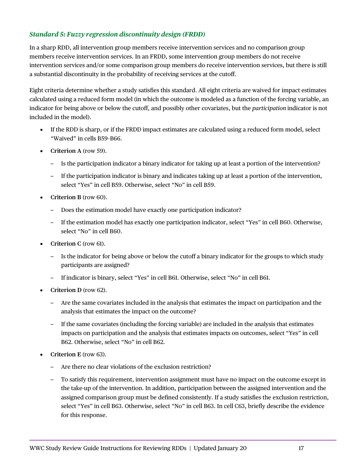#### <span id="page-19-0"></span>*Standard 5: Fuzzy regression discontinuity design (FRDD)*

In a sharp RDD, all intervention group members receive intervention services and no comparison group members receive intervention services. In an FRDD, some intervention group members do not receive intervention services and/or some comparison group members do receive intervention services, but there is still a substantial discontinuity in the probability of receiving services at the cutoff.

Eight criteria determine whether a study satisfies this standard. All eight criteria are waived for impact estimates calculated using a reduced form model (in which the outcome is modeled as a function of the forcing variable, an indicator for being above or below the cutoff, and possibly other covariates, but the *participation* indicator is not included in the model).

- If the RDD is sharp, or if the FRDD impact estimates are calculated using a reduced form model, select "Waived" in cells B59–B66.
- **Criterion A** (row 59).
	- Is the participation indicator a binary indicator for taking up at least a portion of the intervention?
	- If the participation indicator is binary and indicates taking up at least a portion of the intervention, select "Yes" in cell B59. Otherwise, select "No" in cell B59.
- **Criterion B** (row 60).
	- Does the estimation model have exactly one participation indicator?
	- If the estimation model has exactly one participation indicator, select "Yes" in cell B60. Otherwise, select "No" in cell B60.
- **Criterion C** (row 61).
	- Is the indicator for being above or below the cutoff a binary indicator for the groups to which study participants are assigned?
	- If indicator is binary, select "Yes" in cell B61. Otherwise, select "No" in cell B61.
- **Criterion D** (row 62).
	- Are the same covariates included in the analysis that estimates the impact on participation and the analysis that estimates the impact on the outcome?
	- If the same covariates (including the forcing variable) are included in the analysis that estimates impacts on participation and the analysis that estimates impacts on outcomes, select "Yes" in cell B62. Otherwise, select "No" in cell B62.
- **Criterion E** (row 63).
	- Are there no clear violations of the exclusion restriction?
	- To satisfy this requirement, intervention assignment must have no impact on the outcome except in the take-up of the intervention. In addition, participation between the assigned intervention and the assigned comparison group must be defined consistently. If a study satisfies the exclusion restriction, select "Yes" in cell B63. Otherwise, select "No" in cell B63. In cell C63, briefly describe the evidence for this response.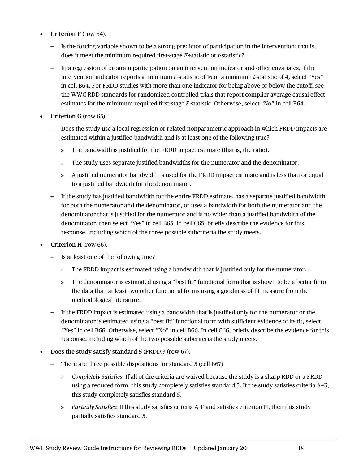- **Criterion F** (row 64).
	- Is the forcing variable shown to be a strong predictor of participation in the intervention; that is, does it meet the minimum required first-stage *F*-statistic or *t*-statistic?
	- In a regression of program participation on an intervention indicator and other covariates, if the intervention indicator reports a minimum *F*-statistic of 16 or a minimum *t*-statistic of 4, select "Yes" in cell B64. For FRDD studies with more than one indicator for being above or below the cutoff, see the WWC RDD standards for randomized controlled trials that report complier average causal effect estimates for the minimum required first-stage *F*-statistic. Otherwise, select "No" in cell B64.
- **Criterion G** (row 65).
	- Does the study use a local regression or related nonparametric approach in which FRDD impacts are estimated within a justified bandwidth and is at least one of the following true?
		- » The bandwidth is justified for the FRDD impact estimate (that is, the ratio).
		- » The study uses separate justified bandwidths for the numerator and the denominator.
		- » A justified numerator bandwidth is used for the FRDD impact estimate and is less than or equal to a justified bandwidth for the denominator.
	- If the study has justified bandwidth for the entire FRDD estimate, has a separate justified bandwidth for both the numerator and the denominator, or uses a bandwidth for both the numerator and the denominator that is justified for the numerator and is no wider than a justified bandwidth of the denominator, then select "Yes" in cell B65. In cell C65, briefly describe the evidence for this response, including which of the three possible subcriteria the study meets.
- **Criterion H** (row 66).
	- Is at least one of the following true?
		- » The FRDD impact is estimated using a bandwidth that is justified only for the numerator.
		- » The denominator is estimated using a "best fit" functional form that is shown to be a better fit to the data than at least two other functional forms using a goodness-of-fit measure from the methodological literature.
	- If the FRDD impact is estimated using a bandwidth that is justified only for the numerator or the denominator is estimated using a "best fit" functional form with sufficient evidence of its fit, select "Yes" in cell B66. Otherwise, select "No" in cell B66. In cell C66, briefly describe the evidence for this response, including which of the two possible subcriteria the study meets.
- **Does the study satisfy standard 5** (FRDD)? (row 67).
	- There are three possible dispositions for standard 5 (cell B67)
		- » *Completely Satisfies*: If all of the criteria are waived because the study is a sharp RDD or a FRDD using a reduced form, this study completely satisfies standard 5. If the study satisfies criteria A–G, this study completely satisfies standard 5.
		- » *Partially Satisfies*: If this study satisfies criteria A–F and satisfies criterion H, then this study partially satisfies standard 5.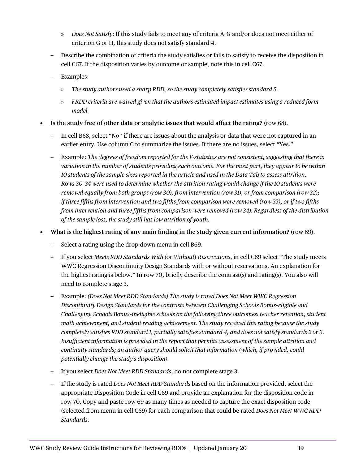- » *Does Not Satisfy*: If this study fails to meet any of criteria A–G and/or does not meet either of criterion G or H, this study does not satisfy standard 4.
- Describe the combination of criteria the study satisfies or fails to satisfy to receive the disposition in cell C67. If the disposition varies by outcome or sample, note this in cell C67.
- Examples:
	- » *The study authors used a sharp RDD, so the study completely satisfies standard 5.*
	- » *FRDD criteria are waived given that the authors estimated impact estimates using a reduced form model.*
- **Is the study free of other data or analytic issues that would affect the rating?** (row 68).
	- In cell B68, select "No" if there are issues about the analysis or data that were not captured in an earlier entry. Use column C to summarize the issues. If there are no issues, select "Yes."
	- Example: *The degrees of freedom reported for the F-statistics are not consistent, suggesting that there is variation in the number of students providing each outcome. For the most part, they appear to be within 10 students of the sample sizes reported in the article and used in the Data Tab to assess attrition. Rows 30–34 were used to determine whether the attrition rating would change if the 10 students were removed equally from both groups (row 30), from intervention (row 31), or from comparison (row 32); if three fifths from intervention and two fifths from comparison were removed (row 33), or if two fifths from intervention and three fifths from comparison were removed (row 34). Regardless of the distribution of the sample loss, the study still has low attrition of youth.*
- **What is the highest rating of any main finding in the study given current information?** (row 69).
	- Select a rating using the drop-down menu in cell B69.
	- If you select *Meets RDD Standards With (*or *Without*) *Reservations*, in cell C69 select "The study meets WWC Regression Discontinuity Design Standards with or without reservations. An explanation for the highest rating is below." In row 70, briefly describe the contrast(s) and rating(s). You also will need to complete stage 3.
	- Example: *(Does Not Meet RDD Standards) The study is rated Does Not Meet WWC Regression Discontinuity Design Standards for the contrasts between Challenging Schools Bonus–eligible and Challenging Schools Bonus–ineligible schools on the following three outcomes: teacher retention, student math achievement, and student reading achievement. The study received this rating because the study completely satisfies RDD standard 1, partially satisfies standard 4, and does not satisfy standards 2 or 3. Insufficient information is provided in the report that permits assessment of the sample attrition and continuity standards; an author query should solicit that information (which, if provided, could potentially change the study's disposition).*
	- If you select *Does Not Meet RDD Standards*, do not complete stage 3.
	- If the study is rated *Does Not Meet RDD Standards* based on the information provided, select the appropriate Disposition Code in cell C69 and provide an explanation for the disposition code in row 70. Copy and paste row 69 as many times as needed to capture the exact disposition code (selected from menu in cell C69) for each comparison that could be rated *Does Not Meet WWC RDD Standards*.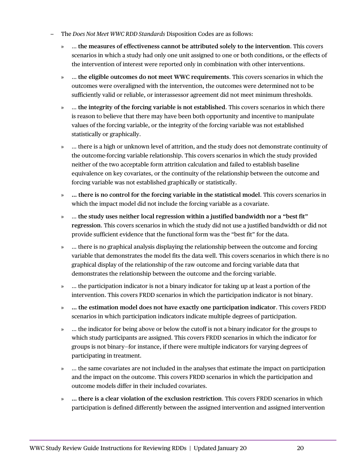- The *Does Not Meet WWC RDD Standards* Disposition Codes are as follows:
	- » … **the measures of effectiveness cannot be attributed solely to the intervention**. This covers scenarios in which a study had only one unit assigned to one or both conditions, or the effects of the intervention of interest were reported only in combination with other interventions.
	- » … **the eligible outcomes do not meet WWC requirements**. This covers scenarios in which the outcomes were overaligned with the intervention, the outcomes were determined not to be sufficiently valid or reliable, or interassessor agreement did not meet minimum thresholds.
	- » … **the integrity of the forcing variable is not established**. This covers scenarios in which there is reason to believe that there may have been both opportunity and incentive to manipulate values of the forcing variable, or the integrity of the forcing variable was not established statistically or graphically.
	- » … there is a high or unknown level of attrition, and the study does not demonstrate continuity of the outcome-forcing variable relationship. This covers scenarios in which the study provided neither of the two acceptable form attrition calculation and failed to establish baseline equivalence on key covariates, or the continuity of the relationship between the outcome and forcing variable was not established graphically or statistically.
	- » **… there is no control for the forcing variable in the statistical model**. This covers scenarios in which the impact model did not include the forcing variable as a covariate.
	- » … **the study uses neither local regression within a justified bandwidth nor a "best fit" regression**. This covers scenarios in which the study did not use a justified bandwidth or did not provide sufficient evidence that the functional form was the "best fit" for the data.
	- » … there is no graphical analysis displaying the relationship between the outcome and forcing variable that demonstrates the model fits the data well. This covers scenarios in which there is no graphical display of the relationship of the raw outcome and forcing variable data that demonstrates the relationship between the outcome and the forcing variable.
	- » … the participation indicator is not a binary indicator for taking up at least a portion of the intervention. This covers FRDD scenarios in which the participation indicator is not binary.
	- » **… the estimation model does not have exactly one participation indicator**. This covers FRDD scenarios in which participation indicators indicate multiple degrees of participation.
	- » … the indicator for being above or below the cutoff is not a binary indicator for the groups to which study participants are assigned. This covers FRDD scenarios in which the indicator for groups is not binary—for instance, if there were multiple indicators for varying degrees of participating in treatment.
	- » … the same covariates are not included in the analyses that estimate the impact on participation and the impact on the outcome. This covers FRDD scenarios in which the participation and outcome models differ in their included covariates.
	- » **… there is a clear violation of the exclusion restriction**. This covers FRDD scenarios in which participation is defined differently between the assigned intervention and assigned intervention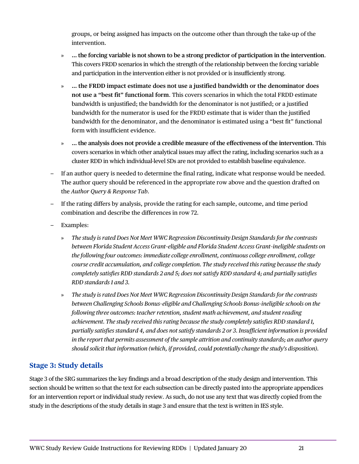groups, or being assigned has impacts on the outcome other than through the take-up of the intervention.

- » **… the forcing variable is not shown to be a strong predictor of participation in the intervention**. This covers FRDD scenarios in which the strength of the relationship between the forcing variable and participation in the intervention either is not provided or is insufficiently strong.
- » **… the FRDD impact estimate does not use a justified bandwidth or the denominator does not use a "best fit" functional form**. This covers scenarios in which the total FRDD estimate bandwidth is unjustified; the bandwidth for the denominator is not justified; or a justified bandwidth for the numerator is used for the FRDD estimate that is wider than the justified bandwidth for the denominator, and the denominator is estimated using a "best fit" functional form with insufficient evidence.
- » **… the analysis does not provide a credible measure of the effectiveness of the intervention**. This covers scenarios in which other analytical issues may affect the rating, including scenarios such as a cluster RDD in which individual-level SDs are not provided to establish baseline equivalence.
- If an author query is needed to determine the final rating, indicate what response would be needed. The author query should be referenced in the appropriate row above and the question drafted on the *Author Query & Response Tab*.
- If the rating differs by analysis, provide the rating for each sample, outcome, and time period combination and describe the differences in row 72.
- Examples:
	- » *The study is rated Does Not Meet WWC Regression Discontinuity Design Standards for the contrasts between Florida Student Access Grant–eligible and Florida Student Access Grant–ineligible students on the following four outcomes: immediate college enrollment, continuous college enrollment, college course credit accumulation, and college completion. The study received this rating because the study completely satisfies RDD standards 2 and 5; does not satisfy RDD standard 4; and partially satisfies RDD standards 1 and 3.*
	- » *The study is rated Does Not Meet WWC Regression Discontinuity Design Standards for the contrasts between Challenging Schools Bonus–eligible and Challenging Schools Bonus–ineligible schools on the following three outcomes: teacher retention, student math achievement, and student reading achievement. The study received this rating because the study completely satisfies RDD standard 1, partially satisfies standard 4, and does not satisfy standards 2 or 3. Insufficient information is provided in the report that permits assessment of the sample attrition and continuity standards; an author query should solicit that information (which, if provided, could potentially change the study's disposition).*

### <span id="page-23-0"></span>**Stage 3: Study details**

Stage 3 of the SRG summarizes the key findings and a broad description of the study design and intervention. This section should be written so that the text for each subsection can be directly pasted into the appropriate appendices for an intervention report or individual study review. As such, do not use any text that was directly copied from the study in the descriptions of the study details in stage 3 and ensure that the text is written in IES style.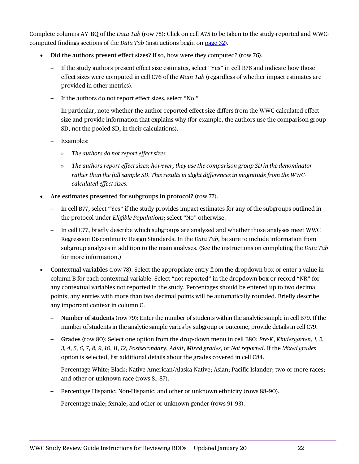Complete columns AY–BQ of the *Data Tab* (row 75): Click on cell A75 to be taken to the study-reported and WWCcomputed findings sections of the *Data Tab* (instructions begin on [page 32\)](#page-34-1).

- **Did the authors present effect sizes?** If so, how were they computed? (row 76).
	- If the study authors present effect size estimates, select "Yes" in cell B76 and indicate how those effect sizes were computed in cell C76 of the *Main Tab* (regardless of whether impact estimates are provided in other metrics).
	- If the authors do not report effect sizes, select "No."
	- In particular, note whether the author-reported effect size differs from the WWC-calculated effect size and provide information that explains why (for example, the authors use the comparison group SD, not the pooled SD, in their calculations).
	- Examples:
		- » *The authors do not report effect sizes.*
		- » *The authors report effect sizes; however, they use the comparison group SD in the denominator rather than the full sample SD. This results in slight differences in magnitude from the WWCcalculated effect sizes.*
- **Are estimates presented for subgroups in protocol?** (row 77).
	- In cell B77, select "Yes" if the study provides impact estimates for any of the subgroups outlined in the protocol under *Eligible Populations*; select "No" otherwise.
	- In cell C77, briefly describe which subgroups are analyzed and whether those analyses meet WWC Regression Discontinuity Design Standards. In the *Data Tab*, be sure to include information from subgroup analyses in addition to the main analyses. (See the instructions on completing the *Data Tab* for more information.)
- **Contextual variables** (row 78). Select the appropriate entry from the dropdown box or enter a value in column B for each contextual variable. Select "not reported" in the dropdown box or record "NR" for any contextual variables not reported in the study. Percentages should be entered up to two decimal points; any entries with more than two decimal points will be automatically rounded. Briefly describe any important context in column C.
	- **Number of students** (row 79): Enter the number of students within the analytic sample in cell B79. If the number of students in the analytic sample varies by subgroup or outcome, provide details in cell C79.
	- **Grades** (row 80): Select one option from the drop-down menu in cell B80: *Pre-K*, *Kindergarten*, *1, 2, 3, 4, 5, 6, 7, 8, 9, 10, 11, 12*, *Postsecondary*, *Adult*, *Mixed grades,* or *Not reported*. If the *Mixed grades* option is selected, list additional details about the grades covered in cell C84.
	- Percentage White; Black; Native American/Alaska Native; Asian; Pacific Islander; two or more races; and other or unknown race (rows 81–87).
	- Percentage Hispanic; Non-Hispanic; and other or unknown ethnicity (rows 88–90).
	- Percentage male; female; and other or unknown gender (rows 91–93).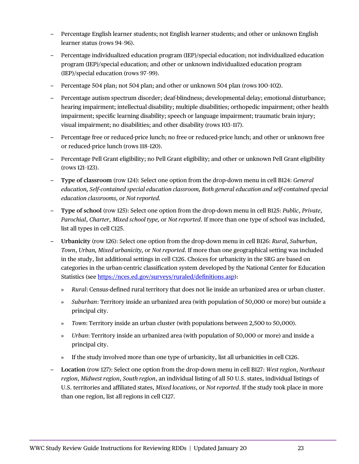- Percentage English learner students; not English learner students; and other or unknown English learner status (rows 94–96).
- Percentage individualized education program (IEP)/special education; not individualized education program (IEP)/special education; and other or unknown individualized education program (IEP)/special education (rows 97–99).
- Percentage 504 plan; not 504 plan; and other or unknown 504 plan (rows 100–102).
- Percentage autism spectrum disorder; deaf-blindness; developmental delay; emotional disturbance; hearing impairment; intellectual disability; multiple disabilities; orthopedic impairment; other health impairment; specific learning disability; speech or language impairment; traumatic brain injury; visual impairment; no disabilities; and other disability (rows 103–117).
- Percentage free or reduced-price lunch; no free or reduced-price lunch; and other or unknown free or reduced-price lunch (rows 118–120).
- Percentage Pell Grant eligibility; no Pell Grant eligibility; and other or unknown Pell Grant eligibility (rows 121–123).
- **Type of classroom** (row 124): Select one option from the drop-down menu in cell B124: *General education, Self-contained special education classroom, Both general education and self-contained special education classrooms,* or *Not reported.*
- **Type of school** (row 125): Select one option from the drop-down menu in cell B125: *Public*, *Private*, *Parochial*, *Charter, Mixed school type,* or *Not reported*. If more than one type of school was included, list all types in cell C125.
- **Urbanicity** (row 126): Select one option from the drop-down menu in cell B126: *Rural*, *Suburban*, *Town*, *Urban, Mixed urbanicity,* or *Not reported*. If more than one geographical setting was included in the study, list additional settings in cell C126. Choices for urbanicity in the SRG are based on categories in the urban-centric classification system developed by the National Center for Education Statistics (see [https://nces.ed.gov/surveys/ruraled/definitions.asp\)](https://nces.ed.gov/surveys/ruraled/definitions.asp):
	- » *Rural*: Census-defined rural territory that does not lie inside an urbanized area or urban cluster.
	- » *Suburban*: Territory inside an urbanized area (with population of 50,000 or more) but outside a principal city.
	- » *Town*: Territory inside an urban cluster (with populations between 2,500 to 50,000).
	- » *Urban*: Territory inside an urbanized area (with population of 50,000 or more) and inside a principal city.
	- If the study involved more than one type of urbanicity, list all urbanicities in cell C126.
- **Location** (row 127): Select one option from the drop-down menu in cell B127: *West region*, *Northeast region*, *Midwest region*, *South region*, an individual listing of all 50 U.S. states, individual listings of U.S. territories and affiliated states, *Mixed locations*, or *Not reported*. If the study took place in more than one region, list all regions in cell C127.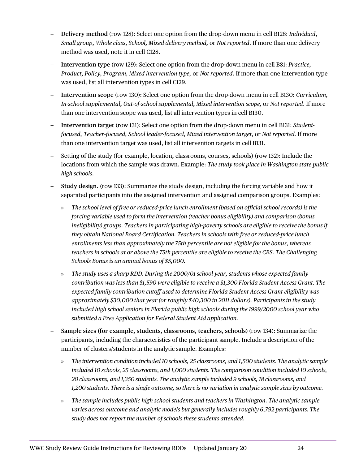- **Delivery method** (row 128): Select one option from the drop-down menu in cell B128: *Individual*, *Small group*, *Whole class*, *School, Mixed delivery method,* or *Not reported*. If more than one delivery method was used, note it in cell C128.
- **Intervention type** (row 129): Select one option from the drop-down menu in cell B81: *Practice, Product, Policy, Program, Mixed intervention type,* or *Not reported*. If more than one intervention type was used, list all intervention types in cell C129.
- **Intervention scope** (row 130): Select one option from the drop-down menu in cell B130: *Curriculum, In-school supplemental, Out-of-school supplemental, Mixed intervention scope,* or *Not reported*. If more than one intervention scope was used, list all intervention types in cell B130.
- **Intervention target** (row 131): Select one option from the drop-down menu in cell B131: *Studentfocused, Teacher-focused, School leader-focused, Mixed intervention target,* or *Not reported.* If more than one intervention target was used, list all intervention targets in cell B131.
- Setting of the study (for example, location, classrooms, courses, schools) (row 132): Include the locations from which the sample was drawn. Example: *The study took place in Washington state public high schools.*
- **Study design.** (row 133): Summarize the study design, including the forcing variable and how it separated participants into the assigned intervention and assigned comparison groups. Examples:
	- » *The school level of free or reduced-price lunch enrollment (based on official school records) is the forcing variable used to form the intervention (teacher bonus eligibility) and comparison (bonus ineligibility) groups. Teachers in participating high-poverty schools are eligible to receive the bonus if they obtain National Board Certification. Teachers in schools with free or reduced-price lunch enrollments less than approximately the 75th percentile are not eligible for the bonus, whereas teachers in schools at or above the 75th percentile are eligible to receive the CBS. The Challenging Schools Bonus is an annual bonus of \$5,000.*
	- » *The study uses a sharp RDD. During the 2000/01 school year, students whose expected family contribution was less than \$1,590 were eligible to receive a \$1,300 Florida Student Access Grant. The expected family contribution cutoff used to determine Florida Student Access Grant eligibility was approximately \$30,000 that year (or roughly \$40,300 in 2011 dollars). Participants in the study included high school seniors in Florida public high schools during the 1999/2000 school year who submitted a Free Application for Federal Student Aid application.*
- **Sample sizes (for example, students, classrooms, teachers, schools)** (row 134): Summarize the participants, including the characteristics of the participant sample. Include a description of the number of clusters/students in the analytic sample. Examples:
	- » *The intervention condition included 10 schools, 25 classrooms, and 1,500 students. The analytic sample included 10 schools, 25 classrooms, and 1,000 students. The comparison condition included 10 schools, 20 classrooms, and 1,350 students. The analytic sample included 9 schools, 18 classrooms, and 1,200 students. There is a single outcome, so there is no variation in analytic sample sizes by outcome.*
	- » *The sample includes public high school students and teachers in Washington. The analytic sample varies across outcome and analytic models but generally includes roughly 6,792 participants. The study does not report the number of schools these students attended.*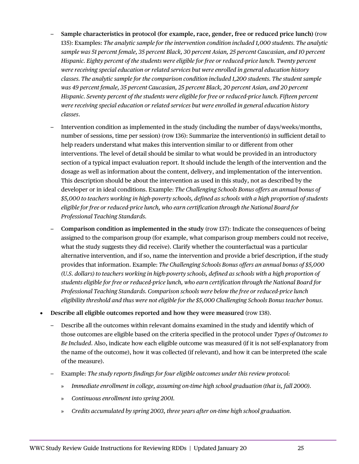- **Sample characteristics in protocol (for example, race, gender, free or reduced price lunch)** (row 135): Examples: *The analytic sample for the intervention condition included 1,000 students. The analytic sample was 51 percent female, 35 percent Black, 30 percent Asian, 25 percent Caucasian, and 10 percent Hispanic. Eighty percent of the students were eligible for free or reduced-price lunch. Twenty percent were receiving special education or related services but were enrolled in general education history classes. The analytic sample for the comparison condition included 1,200 students. The student sample was 49 percent female, 35 percent Caucasian, 25 percent Black, 20 percent Asian, and 20 percent Hispanic. Seventy percent of the students were eligible for free or reduced-price lunch. Fifteen percent were receiving special education or related services but were enrolled in general education history classes*.
- Intervention condition as implemented in the study (including the number of days/weeks/months, number of sessions, time per session) (row 136): Summarize the intervention(s) in sufficient detail to help readers understand what makes this intervention similar to or different from other interventions. The level of detail should be similar to what would be provided in an introductory section of a typical impact evaluation report. It should include the length of the intervention and the dosage as well as information about the content, delivery, and implementation of the intervention. This description should be about the intervention as used in this study, not as described by the developer or in ideal conditions. Example: *The Challenging Schools Bonus offers an annual bonus of \$5,000 to teachers working in high-poverty schools, defined as schools with a high proportion of students eligible for free or reduced-price lunch, who earn certification through the National Board for Professional Teaching Standards.*
- **Comparison condition as implemented in the study** (row 137): Indicate the consequences of being assigned to the comparison group (for example, what comparison group members could not receive, what the study suggests they did receive). Clarify whether the counterfactual was a particular alternative intervention, and if so, name the intervention and provide a brief description, if the study provides that information. Example: *The Challenging Schools Bonus offers an annual bonus of \$5,000 (U.S. dollars) to teachers working in high-poverty schools, defined as schools with a high proportion of students eligible for free or reduced-price lunch, who earn certification through the National Board for Professional Teaching Standards. Comparison schools were below the free or reduced-price lunch eligibility threshold and thus were not eligible for the \$5,000 Challenging Schools Bonus teacher bonus.*
- **Describe all eligible outcomes reported and how they were measured** (row 138).
	- Describe all the outcomes within relevant domains examined in the study and identify which of those outcomes are eligible based on the criteria specified in the protocol under *Types of Outcomes to Be Included*. Also, indicate how each eligible outcome was measured (if it is not self-explanatory from the name of the outcome), how it was collected (if relevant), and how it can be interpreted (the scale of the measure).
	- Example: *The study reports findings for four eligible outcomes under this review protocol:*
		- » *Immediate enrollment in college, assuming on-time high school graduation (that is, fall 2000).*
		- » *Continuous enrollment into spring 2001.*
		- » *Credits accumulated by spring 2003, three years after on-time high school graduation.*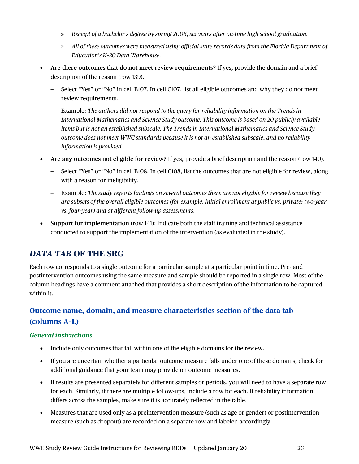- » *Receipt of a bachelor's degree by spring 2006, six years after on-time high school graduation.*
- » *All of these outcomes were measured using official state records data from the Florida Department of Education's K–20 Data Warehouse.*
- **Are there outcomes that do not meet review requirements?** If yes, provide the domain and a brief description of the reason (row 139).
	- Select "Yes" or "No" in cell B107. In cell C107, list all eligible outcomes and why they do not meet review requirements.
	- Example: *The authors did not respond to the query for reliability information on the Trends in International Mathematics and Science Study outcome. This outcome is based on 20 publicly available items but is not an established subscale. The Trends in International Mathematics and Science Study outcome does not meet WWC standards because it is not an established subscale, and no reliability information is provided.*
- **Are any outcomes not eligible for review?** If yes, provide a brief description and the reason (row 140).
	- Select "Yes" or "No" in cell B108. In cell C108, list the outcomes that are not eligible for review, along with a reason for ineligibility.
	- Example: *The study reports findings on several outcomes there are not eligible for review because they are subsets of the overall eligible outcomes (for example, initial enrollment at public vs. private; two-year vs. four-year) and at different follow-up assessments.*
- **Support for implementation** (row 141): Indicate both the staff training and technical assistance conducted to support the implementation of the intervention (as evaluated in the study).

# <span id="page-28-0"></span>*DATA TAB* **OF THE SRG**

Each row corresponds to a single outcome for a particular sample at a particular point in time. Pre- and postintervention outcomes using the same measure and sample should be reported in a single row. Most of the column headings have a comment attached that provides a short description of the information to be captured within it.

# <span id="page-28-1"></span>**Outcome name, domain, and measure characteristics section of the data tab (columns A–L)**

#### <span id="page-28-2"></span>*General instructions*

- Include only outcomes that fall within one of the eligible domains for the review.
- If you are uncertain whether a particular outcome measure falls under one of these domains, check for additional guidance that your team may provide on outcome measures.
- If results are presented separately for different samples or periods, you will need to have a separate row for each. Similarly, if there are multiple follow-ups, include a row for each. If reliability information differs across the samples, make sure it is accurately reflected in the table.
- Measures that are used only as a preintervention measure (such as age or gender) or postintervention measure (such as dropout) are recorded on a separate row and labeled accordingly.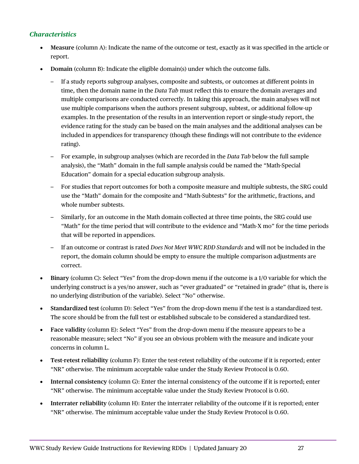#### <span id="page-29-0"></span>*Characteristics*

- **Measure** (column A): Indicate the name of the outcome or test, exactly as it was specified in the article or report.
- **Domain** (column B): Indicate the eligible domain(s) under which the outcome falls.
	- If a study reports subgroup analyses, composite and subtests, or outcomes at different points in time, then the domain name in the *Data Tab* must reflect this to ensure the domain averages and multiple comparisons are conducted correctly. In taking this approach, the main analyses will not use multiple comparisons when the authors present subgroup, subtest, or additional follow-up examples. In the presentation of the results in an intervention report or single-study report, the evidence rating for the study can be based on the main analyses and the additional analyses can be included in appendices for transparency (though these findings will not contribute to the evidence rating).
	- For example, in subgroup analyses (which are recorded in the *Data Tab* below the full sample analysis), the "Math" domain in the full sample analysis could be named the "Math-Special Education" domain for a special education subgroup analysis.
	- For studies that report outcomes for both a composite measure and multiple subtests, the SRG could use the "Math" domain for the composite and "Math-Subtests" for the arithmetic, fractions, and whole number subtests.
	- Similarly, for an outcome in the Math domain collected at three time points, the SRG could use "Math" for the time period that will contribute to the evidence and "Math-X mo" for the time periods that will be reported in appendices.
	- If an outcome or contrast is rated *Does Not Meet WWC RDD Standards* and will not be included in the report, the domain column should be empty to ensure the multiple comparison adjustments are correct.
- **Binary** (column C): Select "Yes" from the drop-down menu if the outcome is a 1/0 variable for which the underlying construct is a yes/no answer, such as "ever graduated" or "retained in grade" (that is, there is no underlying distribution of the variable). Select "No" otherwise.
- **Standardized test** (column D): Select "Yes" from the drop-down menu if the test is a standardized test. The score should be from the full test or established subscale to be considered a standardized test.
- **Face validity** (column E): Select "Yes" from the drop-down menu if the measure appears to be a reasonable measure; select "No" if you see an obvious problem with the measure and indicate your concerns in column L.
- **Test-retest reliability** (column F): Enter the test-retest reliability of the outcome if it is reported; enter "NR" otherwise. The minimum acceptable value under the Study Review Protocol is 0.60.
- **Internal consistency** (column G): Enter the internal consistency of the outcome if it is reported; enter "NR" otherwise. The minimum acceptable value under the Study Review Protocol is 0.60.
- **Interrater reliability** (column H): Enter the interrater reliability of the outcome if it is reported; enter "NR" otherwise. The minimum acceptable value under the Study Review Protocol is 0.60.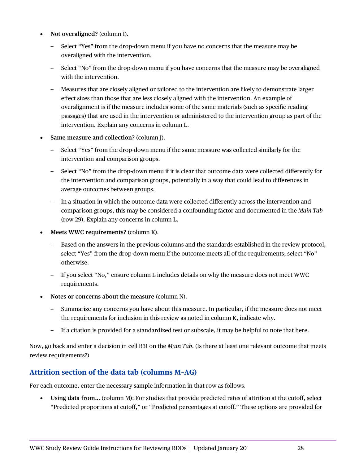- **Not overaligned?** (column I).
	- Select "Yes" from the drop-down menu if you have no concerns that the measure may be overaligned with the intervention.
	- Select "No" from the drop-down menu if you have concerns that the measure may be overaligned with the intervention.
	- Measures that are closely aligned or tailored to the intervention are likely to demonstrate larger effect sizes than those that are less closely aligned with the intervention. An example of overalignment is if the measure includes some of the same materials (such as specific reading passages) that are used in the intervention or administered to the intervention group as part of the intervention. Explain any concerns in column L.
- **Same measure and collection?** (column J).
	- Select "Yes" from the drop-down menu if the same measure was collected similarly for the intervention and comparison groups.
	- Select "No" from the drop-down menu if it is clear that outcome data were collected differently for the intervention and comparison groups, potentially in a way that could lead to differences in average outcomes between groups.
	- In a situation in which the outcome data were collected differently across the intervention and comparison groups, this may be considered a confounding factor and documented in the *Main Tab* (row 29). Explain any concerns in column L.
- **Meets WWC requirements?** (column K).
	- Based on the answers in the previous columns and the standards established in the review protocol, select "Yes" from the drop-down menu if the outcome meets all of the requirements; select "No" otherwise.
	- If you select "No," ensure column L includes details on why the measure does not meet WWC requirements.
- **Notes or concerns about the measure** (column N).
	- Summarize any concerns you have about this measure. In particular, if the measure does not meet the requirements for inclusion in this review as noted in column K, indicate why.
	- If a citation is provided for a standardized test or subscale, it may be helpful to note that here.

Now, go back and enter a decision in cell B31 on the *Main Tab*. (Is there at least one relevant outcome that meets review requirements?)

### <span id="page-30-0"></span>**Attrition section of the data tab (columns M–AG)**

For each outcome, enter the necessary sample information in that row as follows.

• **Using data from…** (column M): For studies that provide predicted rates of attrition at the cutoff, select "Predicted proportions at cutoff," or "Predicted percentages at cutoff." These options are provided for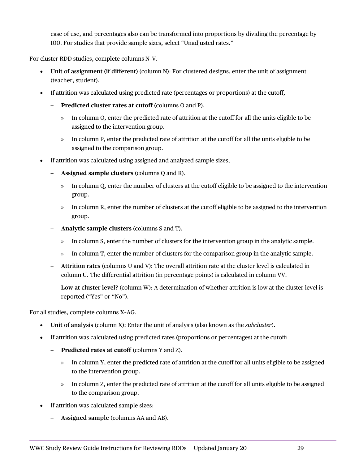ease of use, and percentages also can be transformed into proportions by dividing the percentage by 100. For studies that provide sample sizes, select "Unadjusted rates."

For cluster RDD studies, complete columns N–V.

- **Unit of assignment (if different)** (column N): For clustered designs, enter the unit of assignment (teacher, student).
- If attrition was calculated using predicted rate (percentages or proportions) at the cutoff,
	- **Predicted cluster rates at cutoff** (columns O and P).
		- » In column O, enter the predicted rate of attrition at the cutoff for all the units eligible to be assigned to the intervention group.
		- » In column P, enter the predicted rate of attrition at the cutoff for all the units eligible to be assigned to the comparison group.
- If attrition was calculated using assigned and analyzed sample sizes,
	- **Assigned sample clusters** (columns Q and R).
		- » In column Q, enter the number of clusters at the cutoff eligible to be assigned to the intervention group.
		- » In column R, enter the number of clusters at the cutoff eligible to be assigned to the intervention group.
	- **Analytic sample clusters** (columns S and T).
		- » In column S, enter the number of clusters for the intervention group in the analytic sample.
		- » In column T, enter the number of clusters for the comparison group in the analytic sample.
	- **Attrition rates** (columns U and V): The overall attrition rate at the cluster level is calculated in column U. The differential attrition (in percentage points) is calculated in column VV.
	- **Low at cluster level?** (column W): A determination of whether attrition is low at the cluster level is reported ("Yes" or "No").

For all studies, complete columns X–AG.

- **Unit of analysis** (column X): Enter the unit of analysis (also known as the *subcluster*).
- If attrition was calculated using predicted rates (proportions or percentages) at the cutoff:
	- **Predicted rates at cutoff** (columns Y and Z).
		- » In column Y, enter the predicted rate of attrition at the cutoff for all units eligible to be assigned to the intervention group.
		- » In column Z, enter the predicted rate of attrition at the cutoff for all units eligible to be assigned to the comparison group.
- If attrition was calculated sample sizes:
	- **Assigned sample** (columns AA and AB).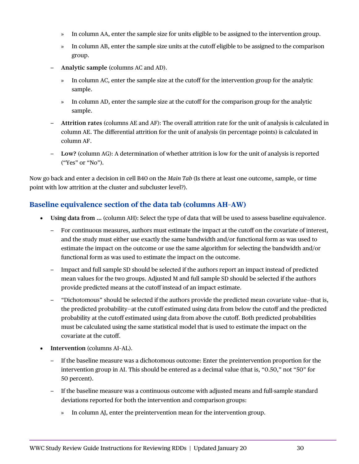- » In column AA, enter the sample size for units eligible to be assigned to the intervention group.
- » In column AB, enter the sample size units at the cutoff eligible to be assigned to the comparison group.
- **Analytic sample** (columns AC and AD).
	- » In column AC, enter the sample size at the cutoff for the intervention group for the analytic sample.
	- » In column AD, enter the sample size at the cutoff for the comparison group for the analytic sample.
- **Attrition rates** (columns AE and AF): The overall attrition rate for the unit of analysis is calculated in column AE. The differential attrition for the unit of analysis (in percentage points) is calculated in column AF.
- **Low?** (column AG): A determination of whether attrition is low for the unit of analysis is reported ("Yes" or "No").

Now go back and enter a decision in cell B40 on the *Main Tab* (Is there at least one outcome, sample, or time point with low attrition at the cluster and subcluster level?).

### <span id="page-32-0"></span>**Baseline equivalence section of the data tab (columns AH–AW)**

- **Using data from …** (column AH): Select the type of data that will be used to assess baseline equivalence.
	- For continuous measures, authors must estimate the impact at the cutoff on the covariate of interest, and the study must either use exactly the same bandwidth and/or functional form as was used to estimate the impact on the outcome or use the same algorithm for selecting the bandwidth and/or functional form as was used to estimate the impact on the outcome.
	- Impact and full sample SD should be selected if the authors report an impact instead of predicted mean values for the two groups. Adjusted M and full sample SD should be selected if the authors provide predicted means at the cutoff instead of an impact estimate.
	- "Dichotomous" should be selected if the authors provide the predicted mean covariate value—that is, the predicted probability—at the cutoff estimated using data from below the cutoff and the predicted probability at the cutoff estimated using data from above the cutoff. Both predicted probabilities must be calculated using the same statistical model that is used to estimate the impact on the covariate at the cutoff.
- **Intervention** (columns AI–AL).
	- If the baseline measure was a dichotomous outcome: Enter the preintervention proportion for the intervention group in AI. This should be entered as a decimal value (that is, "0.50," not "50" for 50 percent).
	- If the baseline measure was a continuous outcome with adjusted means and full-sample standard deviations reported for both the intervention and comparison groups:
		- » In column AJ, enter the preintervention mean for the intervention group.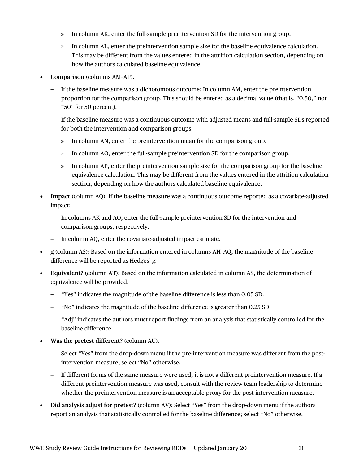- » In column AK, enter the full-sample preintervention SD for the intervention group.
- » In column AL, enter the preintervention sample size for the baseline equivalence calculation. This may be different from the values entered in the attrition calculation section, depending on how the authors calculated baseline equivalence.
- **Comparison** (columns AM–AP).
	- If the baseline measure was a dichotomous outcome: In column AM, enter the preintervention proportion for the comparison group. This should be entered as a decimal value (that is, "0.50," not "50" for 50 percent).
	- If the baseline measure was a continuous outcome with adjusted means and full-sample SDs reported for both the intervention and comparison groups:
		- » In column AN, enter the preintervention mean for the comparison group.
		- » In column AO, enter the full-sample preintervention SD for the comparison group.
		- » In column AP, enter the preintervention sample size for the comparison group for the baseline equivalence calculation. This may be different from the values entered in the attrition calculation section, depending on how the authors calculated baseline equivalence.
- **Impact** (column AQ): If the baseline measure was a continuous outcome reported as a covariate-adjusted impact:
	- In columns AK and AO, enter the full-sample preintervention SD for the intervention and comparison groups, respectively.
	- In column AQ, enter the covariate-adjusted impact estimate.
- **g** (column AS): Based on the information entered in columns AH–AQ, the magnitude of the baseline difference will be reported as Hedges' *g.*
- **Equivalent?** (column AT): Based on the information calculated in column AS, the determination of equivalence will be provided.
	- "Yes" indicates the magnitude of the baseline difference is less than 0.05 SD.
	- "No" indicates the magnitude of the baseline difference is greater than 0.25 SD.
	- "Adj" indicates the authors must report findings from an analysis that statistically controlled for the baseline difference.
- **Was the pretest different?** (column AU).
	- Select "Yes" from the drop-down menu if the pre-intervention measure was different from the postintervention measure; select "No" otherwise.
	- If different forms of the same measure were used, it is not a different preintervention measure. If a different preintervention measure was used, consult with the review team leadership to determine whether the preintervention measure is an acceptable proxy for the post-intervention measure.
- **Did analysis adjust for pretest?** (column AV): Select "Yes" from the drop-down menu if the authors report an analysis that statistically controlled for the baseline difference; select "No" otherwise.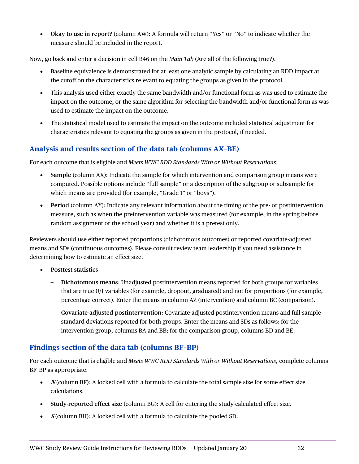• **Okay to use in report?** (column AW): A formula will return "Yes" or "No" to indicate whether the measure should be included in the report.

Now, go back and enter a decision in cell B46 on the *Main Tab* (Are all of the following true?).

- Baseline equivalence is demonstrated for at least one analytic sample by calculating an RDD impact at the cutoff on the characteristics relevant to equating the groups as given in the protocol.
- This analysis used either exactly the same bandwidth and/or functional form as was used to estimate the impact on the outcome, or the same algorithm for selecting the bandwidth and/or functional form as was used to estimate the impact on the outcome.
- The statistical model used to estimate the impact on the outcome included statistical adjustment for characteristics relevant to equating the groups as given in the protocol, if needed.

# <span id="page-34-0"></span>**Analysis and results section of the data tab (columns AX–BE)**

For each outcome that is eligible and *Meets WWC RDD Standards With or Without Reservations*:

- **Sample** (column AX): Indicate the sample for which intervention and comparison group means were computed. Possible options include "full sample" or a description of the subgroup or subsample for which means are provided (for example, "Grade 1" or "boys").
- **Period** (column AY): Indicate any relevant information about the timing of the pre- or postintervention measure, such as when the preintervention variable was measured (for example, in the spring before random assignment or the school year) and whether it is a pretest only.

Reviewers should use either reported proportions (dichotomous outcomes) or reported covariate-adjusted means and SDs (continuous outcomes). Please consult review team leadership if you need assistance in determining how to estimate an effect size.

- **Posttest statistics**
	- **Dichotomous means**: Unadjusted postintervention means reported for both groups for variables that are true 0/1 variables (for example, dropout, graduated) and not for proportions (for example, percentage correct). Enter the means in column AZ (intervention) and column BC (comparison).
	- **Covariate-adjusted postintervention**: Covariate-adjusted postintervention means and full-sample standard deviations reported for both groups. Enter the means and SDs as follows: for the intervention group, columns BA and BB; for the comparison group, columns BD and BE.

## <span id="page-34-1"></span>**Findings section of the data tab (columns BF–BP)**

For each outcome that is eligible and *Meets WWC RDD Standards With or Without Reservations*, complete columns BF–BP as appropriate.

- *N* (column BF): A locked cell with a formula to calculate the total sample size for some effect size calculations.
- **Study-reported effect size** (column BG): A cell for entering the study-calculated effect size.
- **S** (column BH): A locked cell with a formula to calculate the pooled SD.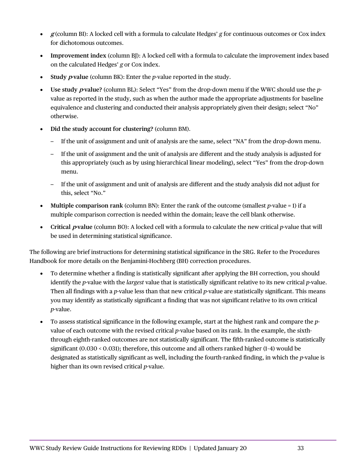- **g** (column BI): A locked cell with a formula to calculate Hedges' *g* for continuous outcomes or Cox index for dichotomous outcomes.
- **Improvement index** (column BJ): A locked cell with a formula to calculate the improvement index based on the calculated Hedges' *g* or Cox index.
- Study *p* value (column BK): Enter the *p*-value reported in the study.
- **Use study p-value?** (column BL): Select "Yes" from the drop-down menu if the WWC should use the *p*value as reported in the study, such as when the author made the appropriate adjustments for baseline equivalence and clustering and conducted their analysis appropriately given their design; select "No" otherwise.
- **Did the study account for clustering?** (column BM).
	- If the unit of assignment and unit of analysis are the same, select "NA" from the drop-down menu.
	- If the unit of assignment and the unit of analysis are different and the study analysis is adjusted for this appropriately (such as by using hierarchical linear modeling), select "Yes" from the drop-down menu.
	- If the unit of assignment and unit of analysis are different and the study analysis did not adjust for this, select "No."
- **Multiple comparison rank** (column BN): Enter the rank of the outcome (smallest *p*-value = 1) if a multiple comparison correction is needed within the domain; leave the cell blank otherwise.
- **Critical** *p***value** (column BO): A locked cell with a formula to calculate the new critical *p*-value that will be used in determining statistical significance.

The following are brief instructions for determining statistical significance in the SRG. Refer to the Procedures Handbook for more details on the Benjamini-Hochberg (BH) correction procedures.

- To determine whether a finding is statistically significant after applying the BH correction, you should identify the *p*-value with the *largest* value that is statistically significant relative to its new critical *p*-value. Then all findings with a *p*-value less than that new critical *p*-value are statistically significant. This means you may identify as statistically significant a finding that was not significant relative to its own critical *p*-value.
- To assess statistical significance in the following example, start at the highest rank and compare the *p*value of each outcome with the revised critical *p*-value based on its rank. In the example, the sixththrough eighth-ranked outcomes are not statistically significant. The fifth-ranked outcome is statistically significant (0.030 < 0.031); therefore, this outcome and all others ranked higher (1–4) would be designated as statistically significant as well, including the fourth-ranked finding, in which the *p*-value is higher than its own revised critical *p*-value.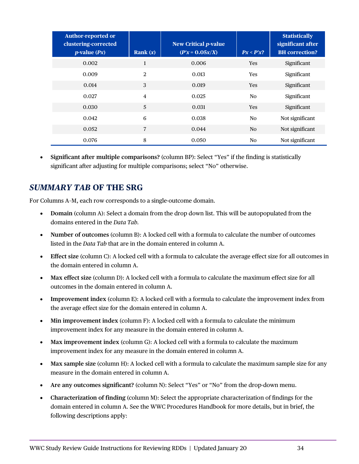| <b>Author-reported or</b><br>clustering-corrected<br>$p$ -value $(Px)$ | Rank $(x)$     | <b>New Critical p-value</b><br>$(P'x = 0.05x/X)$ | $Px < P'x$ ?   | <b>Statistically</b><br>significant after<br><b>BH</b> correction? |
|------------------------------------------------------------------------|----------------|--------------------------------------------------|----------------|--------------------------------------------------------------------|
| 0.002                                                                  | 1              | 0.006                                            | <b>Yes</b>     | Significant                                                        |
| 0.009                                                                  | 2              | 0.013                                            | <b>Yes</b>     | Significant                                                        |
| 0.014                                                                  | 3              | 0.019                                            | <b>Yes</b>     | Significant                                                        |
| 0.027                                                                  | $\overline{4}$ | 0.025                                            | N <sub>o</sub> | Significant                                                        |
| 0.030                                                                  | 5              | 0.031                                            | <b>Yes</b>     | Significant                                                        |
| 0.042                                                                  | 6              | 0.038                                            | N <sub>o</sub> | Not significant                                                    |
| 0.052                                                                  | $\overline{7}$ | 0.044                                            | N <sub>O</sub> | Not significant                                                    |
| 0.076                                                                  | 8              | 0.050                                            | N <sub>o</sub> | Not significant                                                    |

• **Significant after multiple comparisons?** (column BP): Select "Yes" if the finding is statistically significant after adjusting for multiple comparisons; select "No" otherwise.

# <span id="page-36-0"></span>*SUMMARY TAB* **OF THE SRG**

For Columns A–M, each row corresponds to a single-outcome domain.

- **Domain** (column A): Select a domain from the drop down list. This will be autopopulated from the domains entered in the *Data Tab.*
- **Number of outcomes** (column B): A locked cell with a formula to calculate the number of outcomes listed in the *Data Tab* that are in the domain entered in column A.
- **Effect size** (column C): A locked cell with a formula to calculate the average effect size for all outcomes in the domain entered in column A.
- **Max effect size** (column D): A locked cell with a formula to calculate the maximum effect size for all outcomes in the domain entered in column A.
- **Improvement index** (column E): A locked cell with a formula to calculate the improvement index from the average effect size for the domain entered in column A.
- **Min improvement index** (column F): A locked cell with a formula to calculate the minimum improvement index for any measure in the domain entered in column A.
- **Max improvement index** (column G): A locked cell with a formula to calculate the maximum improvement index for any measure in the domain entered in column A.
- **Max sample size** (column H): A locked cell with a formula to calculate the maximum sample size for any measure in the domain entered in column A.
- **Are any outcomes significant?** (column N): Select "Yes" or "No" from the drop-down menu.
- **Characterization of finding** (column M): Select the appropriate characterization of findings for the domain entered in column A. See the WWC Procedures Handbook for more details, but in brief, the following descriptions apply: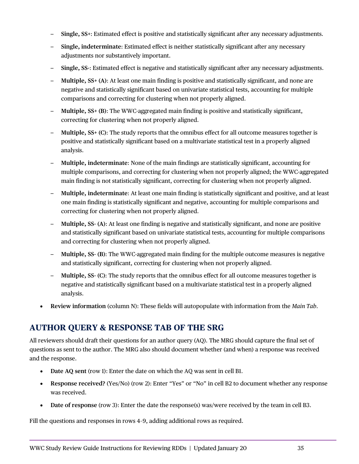- **Single, SS+**: Estimated effect is positive and statistically significant after any necessary adjustments.
- **Single, indeterminate**: Estimated effect is neither statistically significant after any necessary adjustments nor substantively important.
- **Single, SS-**: Estimated effect is negative and statistically significant after any necessary adjustments.
- **Multiple, SS+ (A)**: At least one main finding is positive and statistically significant, and none are negative and statistically significant based on univariate statistical tests, accounting for multiple comparisons and correcting for clustering when not properly aligned.
- **Multiple, SS+ (B)**: The WWC-aggregated main finding is positive and statistically significant, correcting for clustering when not properly aligned.
- **Multiple, SS+ (C)**: The study reports that the omnibus effect for all outcome measures together is positive and statistically significant based on a multivariate statistical test in a properly aligned analysis.
- **Multiple, indeterminate**: None of the main findings are statistically significant, accounting for multiple comparisons, and correcting for clustering when not properly aligned; the WWC-aggregated main finding is not statistically significant, correcting for clustering when not properly aligned.
- **Multiple, indeterminate**: At least one main finding is statistically significant and positive, and at least one main finding is statistically significant and negative, accounting for multiple comparisons and correcting for clustering when not properly aligned.
- **Multiple, SS- (A)**: At least one finding is negative and statistically significant, and none are positive and statistically significant based on univariate statistical tests, accounting for multiple comparisons and correcting for clustering when not properly aligned.
- **Multiple, SS- (B)**: The WWC-aggregated main finding for the multiple outcome measures is negative and statistically significant, correcting for clustering when not properly aligned.
- **Multiple, SS- (C)**: The study reports that the omnibus effect for all outcome measures together is negative and statistically significant based on a multivariate statistical test in a properly aligned analysis.
- **Review information** (column N): These fields will autopopulate with information from the *Main Tab*.

# <span id="page-37-0"></span>**AUTHOR QUERY & RESPONSE TAB OF THE SRG**

All reviewers should draft their questions for an author query (AQ). The MRG should capture the final set of questions as sent to the author. The MRG also should document whether (and when) a response was received and the response.

- **Date AQ sent** (row 1): Enter the date on which the AQ was sent in cell B1.
- **Response received?** (Yes/No) (row 2): Enter "Yes" or "No" in cell B2 to document whether any response was received.
- **Date of response** (row 3): Enter the date the response(s) was/were received by the team in cell B3.

Fill the questions and responses in rows 4–9, adding additional rows as required.